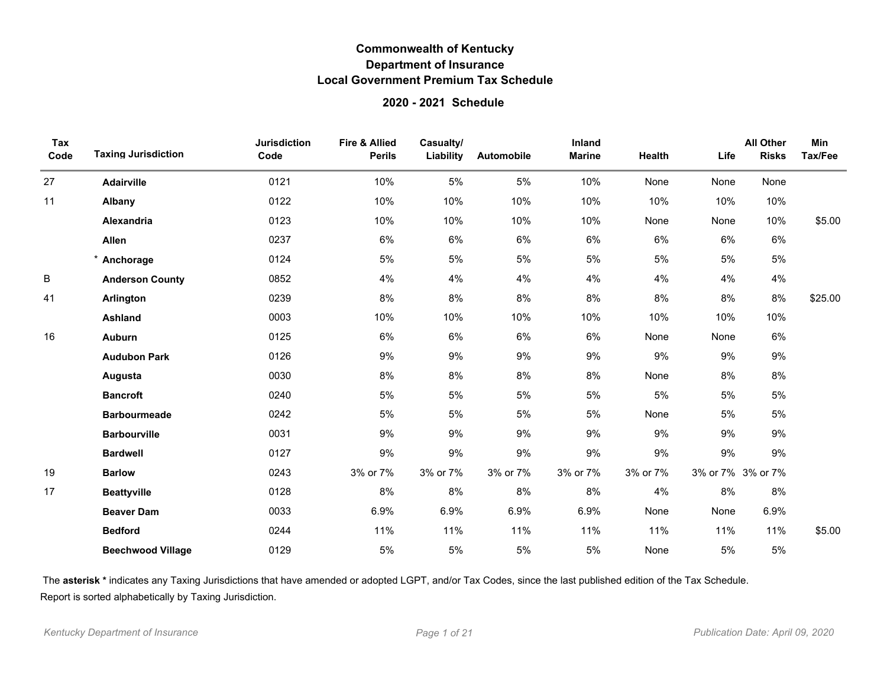### **2020 - 2021 Schedule**

| Tax<br>Code | <b>Taxing Jurisdiction</b> | <b>Jurisdiction</b><br>Code | <b>Fire &amp; Allied</b><br><b>Perils</b> | Casualty/<br>Liability | Automobile | Inland<br><b>Marine</b> | Health   | Life | <b>All Other</b><br><b>Risks</b> | <b>Min</b><br>Tax/Fee |
|-------------|----------------------------|-----------------------------|-------------------------------------------|------------------------|------------|-------------------------|----------|------|----------------------------------|-----------------------|
| 27          | Adairville                 | 0121                        | 10%                                       | 5%                     | 5%         | 10%                     | None     | None | None                             |                       |
| 11          | Albany                     | 0122                        | 10%                                       | 10%                    | 10%        | 10%                     | 10%      | 10%  | 10%                              |                       |
|             | Alexandria                 | 0123                        | 10%                                       | 10%                    | 10%        | 10%                     | None     | None | 10%                              | \$5.00                |
|             | Allen                      | 0237                        | 6%                                        | 6%                     | 6%         | 6%                      | 6%       | 6%   | 6%                               |                       |
|             | Anchorage                  | 0124                        | 5%                                        | 5%                     | 5%         | 5%                      | 5%       | 5%   | $5\%$                            |                       |
| $\sf B$     | <b>Anderson County</b>     | 0852                        | 4%                                        | 4%                     | 4%         | 4%                      | 4%       | 4%   | 4%                               |                       |
| 41          | Arlington                  | 0239                        | 8%                                        | 8%                     | 8%         | 8%                      | 8%       | 8%   | 8%                               | \$25.00               |
|             | <b>Ashland</b>             | 0003                        | 10%                                       | 10%                    | 10%        | 10%                     | 10%      | 10%  | 10%                              |                       |
| 16          | <b>Auburn</b>              | 0125                        | 6%                                        | 6%                     | 6%         | 6%                      | None     | None | 6%                               |                       |
|             | <b>Audubon Park</b>        | 0126                        | 9%                                        | 9%                     | 9%         | 9%                      | 9%       | 9%   | 9%                               |                       |
|             | Augusta                    | 0030                        | 8%                                        | 8%                     | 8%         | 8%                      | None     | 8%   | 8%                               |                       |
|             | <b>Bancroft</b>            | 0240                        | 5%                                        | 5%                     | 5%         | 5%                      | 5%       | 5%   | 5%                               |                       |
|             | <b>Barbourmeade</b>        | 0242                        | 5%                                        | 5%                     | 5%         | 5%                      | None     | 5%   | $5\%$                            |                       |
|             | <b>Barbourville</b>        | 0031                        | 9%                                        | 9%                     | 9%         | 9%                      | 9%       | 9%   | 9%                               |                       |
|             | <b>Bardwell</b>            | 0127                        | 9%                                        | 9%                     | 9%         | 9%                      | 9%       | 9%   | 9%                               |                       |
| 19          | <b>Barlow</b>              | 0243                        | 3% or 7%                                  | 3% or 7%               | 3% or 7%   | 3% or 7%                | 3% or 7% |      | 3% or 7% 3% or 7%                |                       |
| 17          | <b>Beattyville</b>         | 0128                        | 8%                                        | 8%                     | 8%         | 8%                      | 4%       | 8%   | 8%                               |                       |
|             | <b>Beaver Dam</b>          | 0033                        | 6.9%                                      | 6.9%                   | 6.9%       | 6.9%                    | None     | None | 6.9%                             |                       |
|             | <b>Bedford</b>             | 0244                        | 11%                                       | 11%                    | 11%        | 11%                     | 11%      | 11%  | 11%                              | \$5.00                |
|             | <b>Beechwood Village</b>   | 0129                        | 5%                                        | 5%                     | 5%         | 5%                      | None     | 5%   | 5%                               |                       |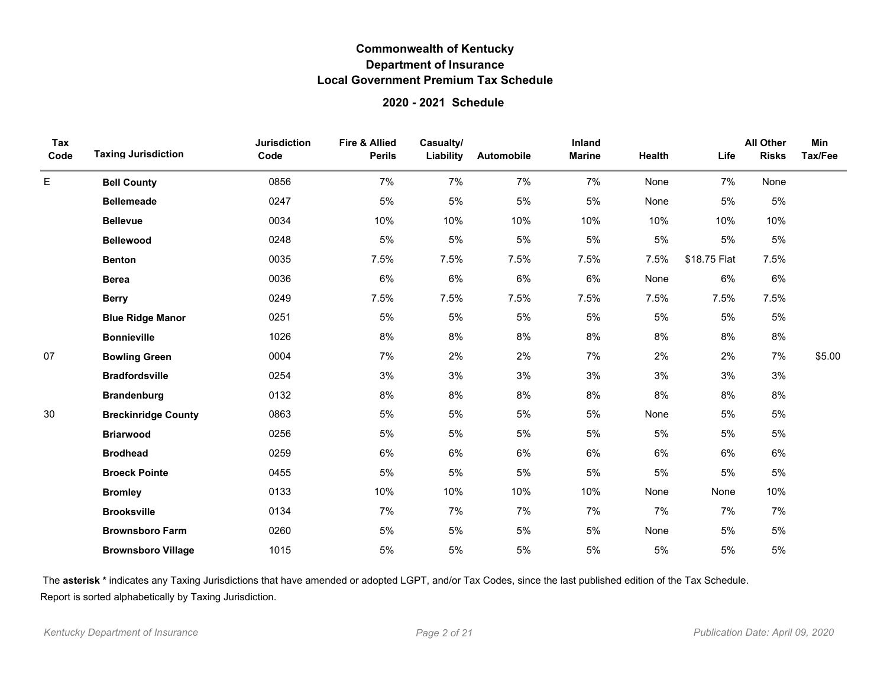### **2020 - 2021 Schedule**

| Tax<br>Code | <b>Taxing Jurisdiction</b> | <b>Jurisdiction</b><br>Code | <b>Fire &amp; Allied</b><br><b>Perils</b> | Casualty/<br>Liability | Automobile | Inland<br><b>Marine</b> | Health | Life         | <b>All Other</b><br><b>Risks</b> | Min<br>Tax/Fee |
|-------------|----------------------------|-----------------------------|-------------------------------------------|------------------------|------------|-------------------------|--------|--------------|----------------------------------|----------------|
| E           | <b>Bell County</b>         | 0856                        | 7%                                        | 7%                     | 7%         | 7%                      | None   | 7%           | None                             |                |
|             | <b>Bellemeade</b>          | 0247                        | 5%                                        | 5%                     | 5%         | 5%                      | None   | 5%           | 5%                               |                |
|             | <b>Bellevue</b>            | 0034                        | 10%                                       | 10%                    | 10%        | 10%                     | 10%    | 10%          | 10%                              |                |
|             | <b>Bellewood</b>           | 0248                        | 5%                                        | $5\%$                  | 5%         | 5%                      | 5%     | 5%           | 5%                               |                |
|             | <b>Benton</b>              | 0035                        | 7.5%                                      | 7.5%                   | 7.5%       | 7.5%                    | 7.5%   | \$18.75 Flat | 7.5%                             |                |
|             | <b>Berea</b>               | 0036                        | $6\%$                                     | $6\%$                  | $6\%$      | 6%                      | None   | 6%           | 6%                               |                |
|             | <b>Berry</b>               | 0249                        | 7.5%                                      | 7.5%                   | 7.5%       | 7.5%                    | 7.5%   | 7.5%         | 7.5%                             |                |
|             | <b>Blue Ridge Manor</b>    | 0251                        | 5%                                        | 5%                     | 5%         | 5%                      | 5%     | 5%           | 5%                               |                |
|             | <b>Bonnieville</b>         | 1026                        | 8%                                        | 8%                     | 8%         | 8%                      | 8%     | 8%           | 8%                               |                |
| 07          | <b>Bowling Green</b>       | 0004                        | 7%                                        | 2%                     | 2%         | 7%                      | 2%     | 2%           | 7%                               | \$5.00         |
|             | <b>Bradfordsville</b>      | 0254                        | 3%                                        | 3%                     | $3%$       | 3%                      | 3%     | 3%           | 3%                               |                |
|             | <b>Brandenburg</b>         | 0132                        | 8%                                        | 8%                     | $8\%$      | 8%                      | 8%     | 8%           | 8%                               |                |
| 30          | <b>Breckinridge County</b> | 0863                        | 5%                                        | 5%                     | 5%         | 5%                      | None   | 5%           | 5%                               |                |
|             | <b>Briarwood</b>           | 0256                        | 5%                                        | 5%                     | 5%         | 5%                      | 5%     | 5%           | 5%                               |                |
|             | <b>Brodhead</b>            | 0259                        | 6%                                        | 6%                     | 6%         | 6%                      | 6%     | 6%           | 6%                               |                |
|             | <b>Broeck Pointe</b>       | 0455                        | 5%                                        | 5%                     | 5%         | 5%                      | 5%     | 5%           | 5%                               |                |
|             | <b>Bromley</b>             | 0133                        | 10%                                       | 10%                    | 10%        | 10%                     | None   | None         | 10%                              |                |
|             | <b>Brooksville</b>         | 0134                        | 7%                                        | 7%                     | 7%         | 7%                      | 7%     | 7%           | 7%                               |                |
|             | <b>Brownsboro Farm</b>     | 0260                        | 5%                                        | 5%                     | 5%         | 5%                      | None   | 5%           | 5%                               |                |
|             | <b>Brownsboro Village</b>  | 1015                        | 5%                                        | 5%                     | 5%         | 5%                      | 5%     | 5%           | 5%                               |                |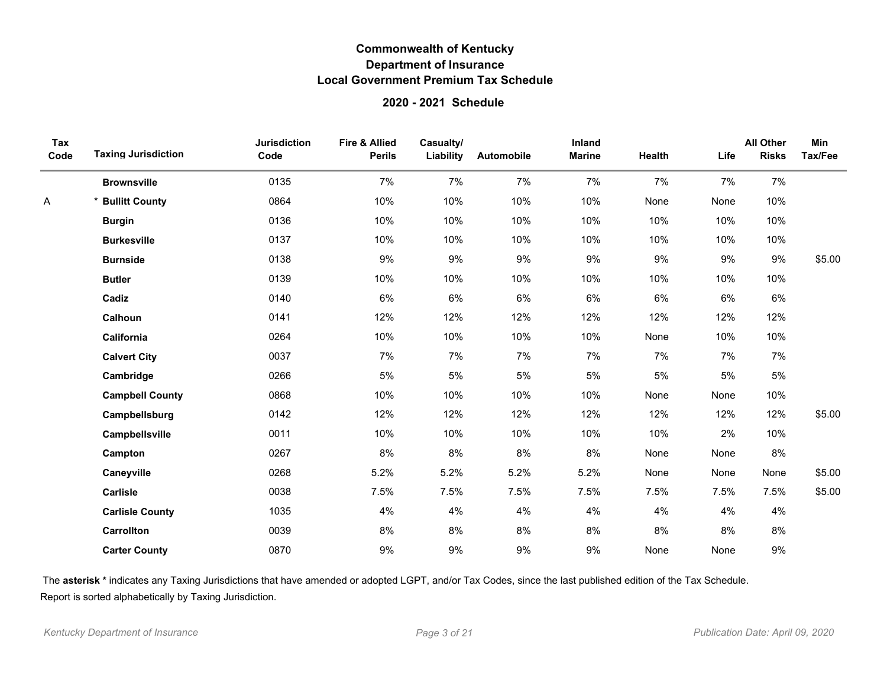### **2020 - 2021 Schedule**

| Tax<br>Code | <b>Taxing Jurisdiction</b> | <b>Jurisdiction</b><br>Code | <b>Fire &amp; Allied</b><br><b>Perils</b> | Casualty/<br>Liability | Automobile | Inland<br><b>Marine</b> | <b>Health</b> | Life | <b>All Other</b><br><b>Risks</b> | <b>Min</b><br>Tax/Fee |
|-------------|----------------------------|-----------------------------|-------------------------------------------|------------------------|------------|-------------------------|---------------|------|----------------------------------|-----------------------|
|             | <b>Brownsville</b>         | 0135                        | 7%                                        | 7%                     | 7%         | 7%                      | 7%            | 7%   | 7%                               |                       |
| Α           | <b>Bullitt County</b>      | 0864                        | 10%                                       | 10%                    | 10%        | 10%                     | None          | None | 10%                              |                       |
|             | <b>Burgin</b>              | 0136                        | 10%                                       | 10%                    | 10%        | 10%                     | 10%           | 10%  | 10%                              |                       |
|             | <b>Burkesville</b>         | 0137                        | 10%                                       | 10%                    | 10%        | 10%                     | 10%           | 10%  | 10%                              |                       |
|             | <b>Burnside</b>            | 0138                        | 9%                                        | 9%                     | 9%         | 9%                      | 9%            | 9%   | 9%                               | \$5.00                |
|             | <b>Butler</b>              | 0139                        | 10%                                       | 10%                    | 10%        | 10%                     | 10%           | 10%  | 10%                              |                       |
|             | Cadiz                      | 0140                        | 6%                                        | 6%                     | 6%         | 6%                      | 6%            | 6%   | 6%                               |                       |
|             | Calhoun                    | 0141                        | 12%                                       | 12%                    | 12%        | 12%                     | 12%           | 12%  | 12%                              |                       |
|             | California                 | 0264                        | 10%                                       | 10%                    | 10%        | 10%                     | None          | 10%  | 10%                              |                       |
|             | <b>Calvert City</b>        | 0037                        | 7%                                        | 7%                     | 7%         | 7%                      | 7%            | 7%   | 7%                               |                       |
|             | Cambridge                  | 0266                        | 5%                                        | 5%                     | 5%         | 5%                      | 5%            | 5%   | 5%                               |                       |
|             | <b>Campbell County</b>     | 0868                        | 10%                                       | 10%                    | 10%        | 10%                     | None          | None | 10%                              |                       |
|             | Campbellsburg              | 0142                        | 12%                                       | 12%                    | 12%        | 12%                     | 12%           | 12%  | 12%                              | \$5.00                |
|             | Campbellsville             | 0011                        | 10%                                       | 10%                    | 10%        | 10%                     | 10%           | 2%   | 10%                              |                       |
|             | Campton                    | 0267                        | 8%                                        | 8%                     | 8%         | 8%                      | None          | None | 8%                               |                       |
|             | Caneyville                 | 0268                        | 5.2%                                      | 5.2%                   | 5.2%       | 5.2%                    | None          | None | None                             | \$5.00                |
|             | Carlisle                   | 0038                        | 7.5%                                      | 7.5%                   | 7.5%       | 7.5%                    | 7.5%          | 7.5% | 7.5%                             | \$5.00                |
|             | <b>Carlisle County</b>     | 1035                        | 4%                                        | 4%                     | 4%         | 4%                      | 4%            | 4%   | 4%                               |                       |
|             | <b>Carrollton</b>          | 0039                        | 8%                                        | 8%                     | 8%         | 8%                      | 8%            | 8%   | 8%                               |                       |
|             | <b>Carter County</b>       | 0870                        | 9%                                        | 9%                     | 9%         | 9%                      | None          | None | 9%                               |                       |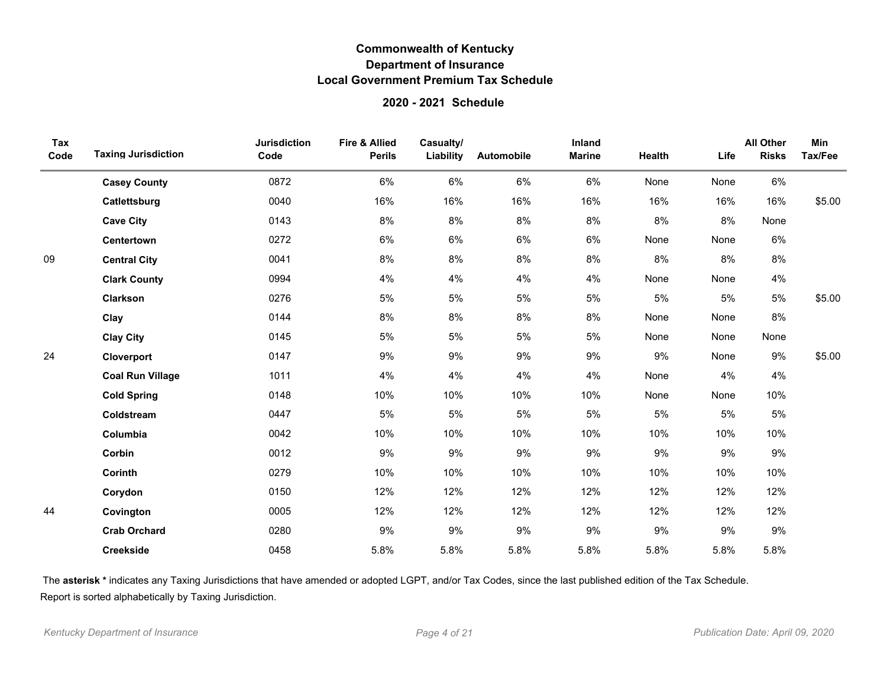### **2020 - 2021 Schedule**

| Tax<br>Code | <b>Taxing Jurisdiction</b> | <b>Jurisdiction</b><br>Code | <b>Fire &amp; Allied</b><br><b>Perils</b> | Casualty/<br>Liability | Automobile | Inland<br><b>Marine</b> | <b>Health</b> | Life | <b>All Other</b><br><b>Risks</b> | Min<br>Tax/Fee |
|-------------|----------------------------|-----------------------------|-------------------------------------------|------------------------|------------|-------------------------|---------------|------|----------------------------------|----------------|
|             | <b>Casey County</b>        | 0872                        | 6%                                        | 6%                     | 6%         | 6%                      | None          | None | 6%                               |                |
|             | Catlettsburg               | 0040                        | 16%                                       | 16%                    | 16%        | 16%                     | 16%           | 16%  | 16%                              | \$5.00         |
|             | <b>Cave City</b>           | 0143                        | 8%                                        | 8%                     | $8\%$      | 8%                      | $8\%$         | 8%   | None                             |                |
|             | <b>Centertown</b>          | 0272                        | 6%                                        | 6%                     | $6\%$      | 6%                      | None          | None | 6%                               |                |
| 09          | <b>Central City</b>        | 0041                        | 8%                                        | 8%                     | $8\%$      | 8%                      | 8%            | 8%   | 8%                               |                |
|             | <b>Clark County</b>        | 0994                        | 4%                                        | 4%                     | 4%         | 4%                      | None          | None | 4%                               |                |
|             | Clarkson                   | 0276                        | 5%                                        | 5%                     | 5%         | 5%                      | 5%            | 5%   | 5%                               | \$5.00         |
|             | Clay                       | 0144                        | 8%                                        | 8%                     | 8%         | 8%                      | None          | None | 8%                               |                |
|             | <b>Clay City</b>           | 0145                        | 5%                                        | 5%                     | 5%         | 5%                      | None          | None | None                             |                |
| 24          | Cloverport                 | 0147                        | $9\%$                                     | 9%                     | 9%         | 9%                      | 9%            | None | 9%                               | \$5.00         |
|             | <b>Coal Run Village</b>    | 1011                        | 4%                                        | 4%                     | 4%         | 4%                      | None          | 4%   | 4%                               |                |
|             | <b>Cold Spring</b>         | 0148                        | 10%                                       | 10%                    | 10%        | 10%                     | None          | None | 10%                              |                |
|             | Coldstream                 | 0447                        | 5%                                        | $5\%$                  | $5\%$      | $5\%$                   | 5%            | 5%   | 5%                               |                |
|             | Columbia                   | 0042                        | 10%                                       | 10%                    | 10%        | 10%                     | 10%           | 10%  | 10%                              |                |
|             | Corbin                     | 0012                        | 9%                                        | 9%                     | $9\%$      | 9%                      | 9%            | 9%   | $9\%$                            |                |
|             | Corinth                    | 0279                        | 10%                                       | 10%                    | 10%        | 10%                     | 10%           | 10%  | 10%                              |                |
|             | Corydon                    | 0150                        | 12%                                       | 12%                    | 12%        | 12%                     | 12%           | 12%  | 12%                              |                |
| 44          | Covington                  | 0005                        | 12%                                       | 12%                    | 12%        | 12%                     | 12%           | 12%  | 12%                              |                |
|             | <b>Crab Orchard</b>        | 0280                        | 9%                                        | 9%                     | 9%         | $9\%$                   | 9%            | 9%   | $9\%$                            |                |
|             | <b>Creekside</b>           | 0458                        | 5.8%                                      | 5.8%                   | 5.8%       | 5.8%                    | 5.8%          | 5.8% | 5.8%                             |                |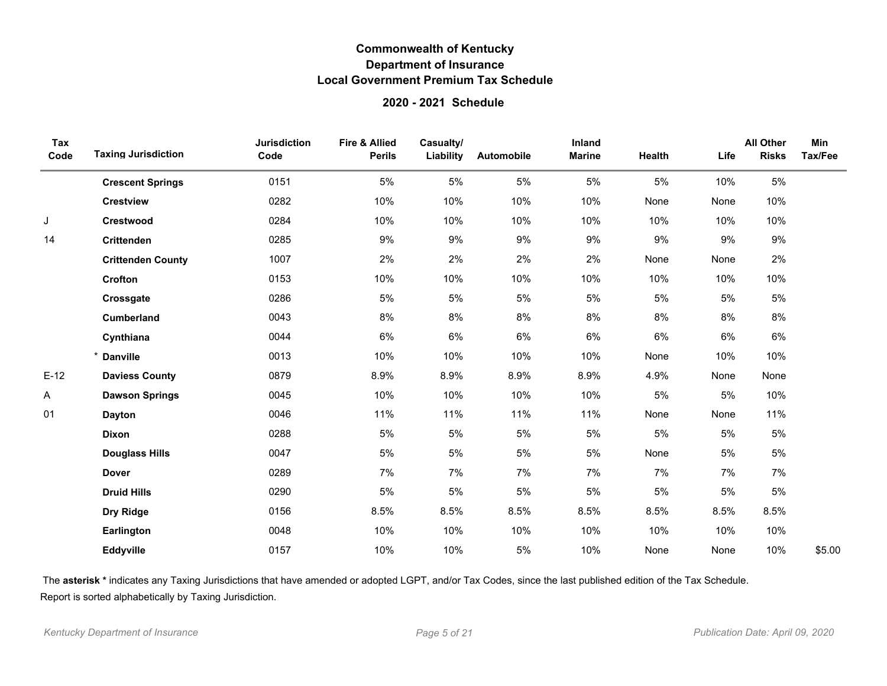### **2020 - 2021 Schedule**

| Tax<br>Code | <b>Taxing Jurisdiction</b> | <b>Jurisdiction</b><br>Code | <b>Fire &amp; Allied</b><br><b>Perils</b> | Casualty/<br>Liability | Automobile | Inland<br><b>Marine</b> | Health | Life | <b>All Other</b><br><b>Risks</b> | <b>Min</b><br>Tax/Fee |
|-------------|----------------------------|-----------------------------|-------------------------------------------|------------------------|------------|-------------------------|--------|------|----------------------------------|-----------------------|
|             | <b>Crescent Springs</b>    | 0151                        | 5%                                        | 5%                     | 5%         | 5%                      | 5%     | 10%  | 5%                               |                       |
|             | <b>Crestview</b>           | 0282                        | 10%                                       | 10%                    | 10%        | 10%                     | None   | None | 10%                              |                       |
| J           | <b>Crestwood</b>           | 0284                        | 10%                                       | 10%                    | 10%        | 10%                     | 10%    | 10%  | 10%                              |                       |
| 14          | Crittenden                 | 0285                        | 9%                                        | 9%                     | $9\%$      | 9%                      | $9\%$  | 9%   | 9%                               |                       |
|             | <b>Crittenden County</b>   | 1007                        | 2%                                        | 2%                     | 2%         | 2%                      | None   | None | 2%                               |                       |
|             | Crofton                    | 0153                        | 10%                                       | 10%                    | 10%        | 10%                     | 10%    | 10%  | 10%                              |                       |
|             | Crossgate                  | 0286                        | 5%                                        | 5%                     | 5%         | 5%                      | 5%     | 5%   | 5%                               |                       |
|             | <b>Cumberland</b>          | 0043                        | 8%                                        | 8%                     | 8%         | 8%                      | $8\%$  | 8%   | $8\%$                            |                       |
|             | Cynthiana                  | 0044                        | 6%                                        | 6%                     | 6%         | 6%                      | 6%     | 6%   | 6%                               |                       |
|             | * Danville                 | 0013                        | 10%                                       | 10%                    | 10%        | 10%                     | None   | 10%  | 10%                              |                       |
| $E-12$      | <b>Daviess County</b>      | 0879                        | 8.9%                                      | 8.9%                   | 8.9%       | 8.9%                    | 4.9%   | None | None                             |                       |
| Α           | <b>Dawson Springs</b>      | 0045                        | 10%                                       | 10%                    | 10%        | 10%                     | 5%     | 5%   | 10%                              |                       |
| 01          | <b>Dayton</b>              | 0046                        | 11%                                       | 11%                    | 11%        | 11%                     | None   | None | 11%                              |                       |
|             | Dixon                      | 0288                        | 5%                                        | 5%                     | 5%         | 5%                      | 5%     | 5%   | 5%                               |                       |
|             | <b>Douglass Hills</b>      | 0047                        | 5%                                        | 5%                     | 5%         | 5%                      | None   | 5%   | 5%                               |                       |
|             | <b>Dover</b>               | 0289                        | 7%                                        | 7%                     | 7%         | 7%                      | 7%     | 7%   | 7%                               |                       |
|             | <b>Druid Hills</b>         | 0290                        | 5%                                        | 5%                     | 5%         | 5%                      | 5%     | 5%   | 5%                               |                       |
|             | Dry Ridge                  | 0156                        | 8.5%                                      | 8.5%                   | 8.5%       | 8.5%                    | 8.5%   | 8.5% | 8.5%                             |                       |
|             | Earlington                 | 0048                        | 10%                                       | 10%                    | 10%        | 10%                     | 10%    | 10%  | 10%                              |                       |
|             | Eddyville                  | 0157                        | 10%                                       | 10%                    | 5%         | 10%                     | None   | None | 10%                              | \$5.00                |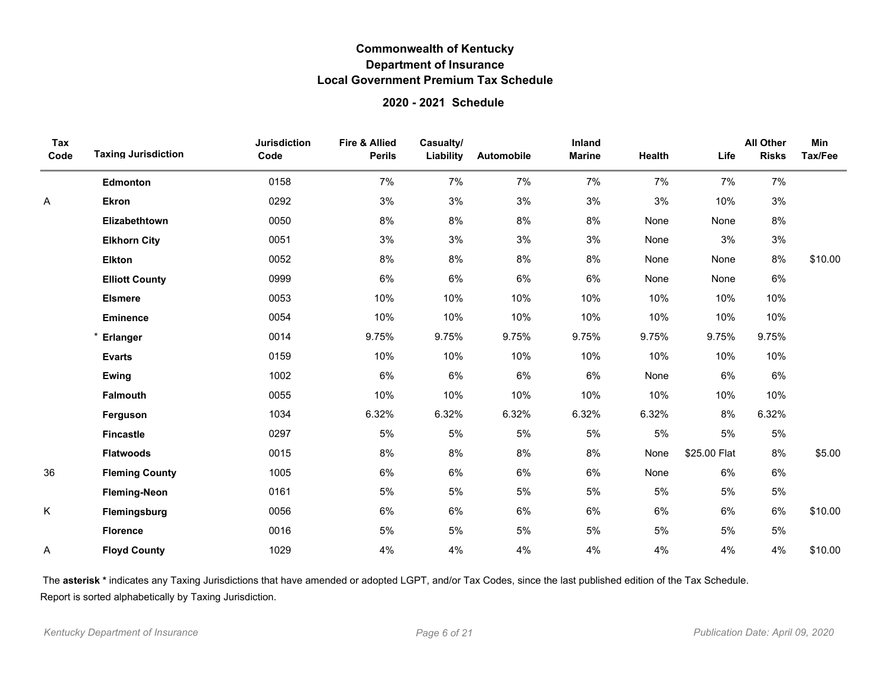### **2020 - 2021 Schedule**

| Tax<br>Code | <b>Taxing Jurisdiction</b> | <b>Jurisdiction</b><br>Code | <b>Fire &amp; Allied</b><br><b>Perils</b> | Casualty/<br>Liability | Automobile | Inland<br><b>Marine</b> | Health | Life         | <b>All Other</b><br><b>Risks</b> | Min<br>Tax/Fee |
|-------------|----------------------------|-----------------------------|-------------------------------------------|------------------------|------------|-------------------------|--------|--------------|----------------------------------|----------------|
|             | Edmonton                   | 0158                        | 7%                                        | 7%                     | 7%         | 7%                      | 7%     | 7%           | 7%                               |                |
| Α           | <b>Ekron</b>               | 0292                        | 3%                                        | 3%                     | 3%         | 3%                      | 3%     | 10%          | 3%                               |                |
|             | Elizabethtown              | 0050                        | 8%                                        | 8%                     | 8%         | 8%                      | None   | None         | 8%                               |                |
|             | <b>Elkhorn City</b>        | 0051                        | 3%                                        | 3%                     | 3%         | 3%                      | None   | 3%           | 3%                               |                |
|             | <b>Elkton</b>              | 0052                        | 8%                                        | 8%                     | $8\%$      | 8%                      | None   | None         | 8%                               | \$10.00        |
|             | <b>Elliott County</b>      | 0999                        | 6%                                        | $6\%$                  | 6%         | 6%                      | None   | None         | 6%                               |                |
|             | <b>Elsmere</b>             | 0053                        | 10%                                       | 10%                    | 10%        | 10%                     | 10%    | 10%          | 10%                              |                |
|             | <b>Eminence</b>            | 0054                        | 10%                                       | 10%                    | 10%        | 10%                     | 10%    | 10%          | 10%                              |                |
|             | * Erlanger                 | 0014                        | 9.75%                                     | 9.75%                  | 9.75%      | 9.75%                   | 9.75%  | 9.75%        | 9.75%                            |                |
|             | <b>Evarts</b>              | 0159                        | 10%                                       | 10%                    | 10%        | 10%                     | 10%    | 10%          | 10%                              |                |
|             | Ewing                      | 1002                        | 6%                                        | 6%                     | 6%         | 6%                      | None   | 6%           | 6%                               |                |
|             | <b>Falmouth</b>            | 0055                        | 10%                                       | 10%                    | 10%        | 10%                     | 10%    | 10%          | 10%                              |                |
|             | Ferguson                   | 1034                        | 6.32%                                     | 6.32%                  | 6.32%      | 6.32%                   | 6.32%  | 8%           | 6.32%                            |                |
|             | <b>Fincastle</b>           | 0297                        | 5%                                        | 5%                     | 5%         | 5%                      | 5%     | 5%           | 5%                               |                |
|             | <b>Flatwoods</b>           | 0015                        | 8%                                        | 8%                     | 8%         | 8%                      | None   | \$25.00 Flat | 8%                               | \$5.00         |
| 36          | <b>Fleming County</b>      | 1005                        | 6%                                        | 6%                     | 6%         | 6%                      | None   | 6%           | 6%                               |                |
|             | <b>Fleming-Neon</b>        | 0161                        | 5%                                        | 5%                     | 5%         | 5%                      | 5%     | 5%           | 5%                               |                |
| K           | Flemingsburg               | 0056                        | 6%                                        | 6%                     | 6%         | 6%                      | 6%     | 6%           | 6%                               | \$10.00        |
|             | <b>Florence</b>            | 0016                        | 5%                                        | 5%                     | 5%         | 5%                      | 5%     | 5%           | 5%                               |                |
| A           | <b>Floyd County</b>        | 1029                        | 4%                                        | 4%                     | 4%         | 4%                      | 4%     | 4%           | 4%                               | \$10.00        |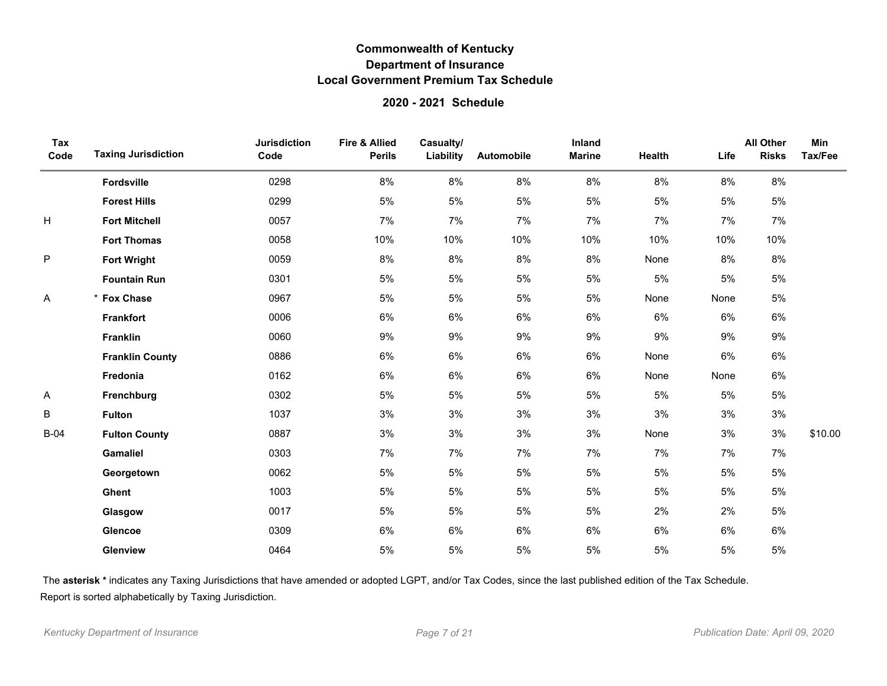### **2020 - 2021 Schedule**

| Tax<br>Code | <b>Taxing Jurisdiction</b> | <b>Jurisdiction</b><br>Code | <b>Fire &amp; Allied</b><br><b>Perils</b> | Casualty/<br>Liability | Automobile | Inland<br><b>Marine</b> | <b>Health</b> | Life | <b>All Other</b><br><b>Risks</b> | <b>Min</b><br>Tax/Fee |
|-------------|----------------------------|-----------------------------|-------------------------------------------|------------------------|------------|-------------------------|---------------|------|----------------------------------|-----------------------|
|             | Fordsville                 | 0298                        | 8%                                        | 8%                     | 8%         | 8%                      | 8%            | 8%   | $8\%$                            |                       |
|             | <b>Forest Hills</b>        | 0299                        | 5%                                        | 5%                     | 5%         | 5%                      | $5\%$         | 5%   | 5%                               |                       |
| Н           | <b>Fort Mitchell</b>       | 0057                        | 7%                                        | 7%                     | 7%         | 7%                      | 7%            | 7%   | 7%                               |                       |
|             | <b>Fort Thomas</b>         | 0058                        | 10%                                       | 10%                    | 10%        | 10%                     | 10%           | 10%  | 10%                              |                       |
| $\sf P$     | <b>Fort Wright</b>         | 0059                        | 8%                                        | 8%                     | 8%         | 8%                      | None          | 8%   | 8%                               |                       |
|             | <b>Fountain Run</b>        | 0301                        | 5%                                        | 5%                     | 5%         | 5%                      | 5%            | 5%   | 5%                               |                       |
| Α           | * Fox Chase                | 0967                        | 5%                                        | 5%                     | 5%         | 5%                      | None          | None | $5\%$                            |                       |
|             | <b>Frankfort</b>           | 0006                        | 6%                                        | 6%                     | 6%         | 6%                      | 6%            | 6%   | 6%                               |                       |
|             | <b>Franklin</b>            | 0060                        | 9%                                        | 9%                     | 9%         | 9%                      | 9%            | 9%   | 9%                               |                       |
|             | <b>Franklin County</b>     | 0886                        | 6%                                        | 6%                     | 6%         | 6%                      | None          | 6%   | 6%                               |                       |
|             | Fredonia                   | 0162                        | $6\%$                                     | 6%                     | 6%         | 6%                      | None          | None | 6%                               |                       |
| Α           | Frenchburg                 | 0302                        | 5%                                        | 5%                     | 5%         | 5%                      | 5%            | 5%   | $5\%$                            |                       |
| B           | <b>Fulton</b>              | 1037                        | 3%                                        | 3%                     | 3%         | 3%                      | $3%$          | 3%   | 3%                               |                       |
| <b>B-04</b> | <b>Fulton County</b>       | 0887                        | 3%                                        | 3%                     | 3%         | 3%                      | None          | 3%   | 3%                               | \$10.00               |
|             | <b>Gamaliel</b>            | 0303                        | 7%                                        | 7%                     | 7%         | 7%                      | 7%            | 7%   | 7%                               |                       |
|             | Georgetown                 | 0062                        | 5%                                        | 5%                     | 5%         | 5%                      | 5%            | 5%   | $5\%$                            |                       |
|             | Ghent                      | 1003                        | 5%                                        | 5%                     | 5%         | 5%                      | 5%            | 5%   | 5%                               |                       |
|             | Glasgow                    | 0017                        | 5%                                        | 5%                     | 5%         | 5%                      | 2%            | 2%   | 5%                               |                       |
|             | <b>Glencoe</b>             | 0309                        | 6%                                        | 6%                     | 6%         | 6%                      | 6%            | 6%   | 6%                               |                       |
|             | Glenview                   | 0464                        | 5%                                        | 5%                     | 5%         | 5%                      | 5%            | 5%   | 5%                               |                       |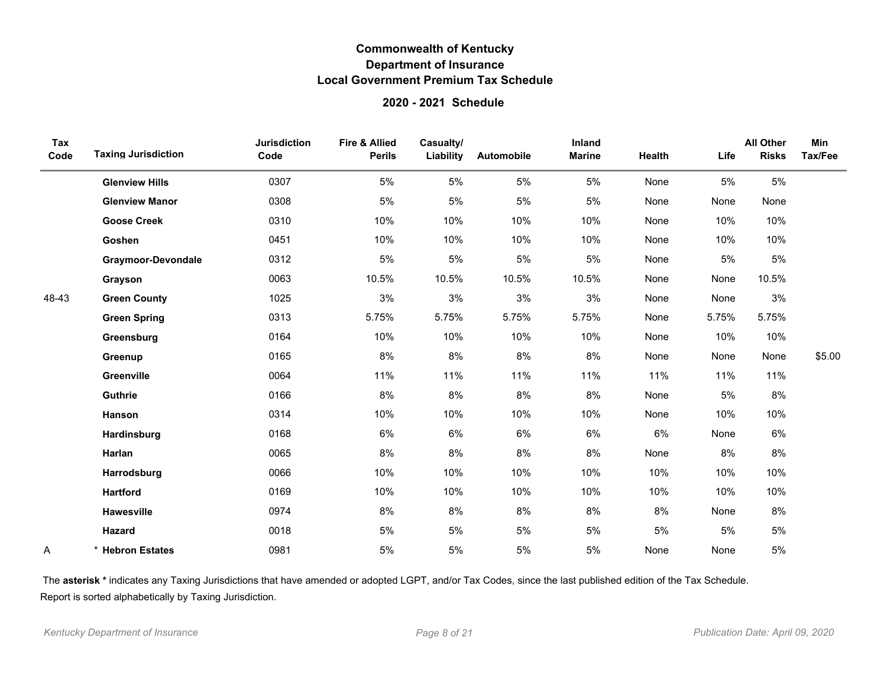### **2020 - 2021 Schedule**

| Tax<br>Code | <b>Taxing Jurisdiction</b> | <b>Jurisdiction</b><br>Code | Fire & Allied<br><b>Perils</b> | Casualty/<br>Liability | Automobile | <b>Inland</b><br><b>Marine</b> | Health | Life  | <b>All Other</b><br><b>Risks</b> | Min<br>Tax/Fee |
|-------------|----------------------------|-----------------------------|--------------------------------|------------------------|------------|--------------------------------|--------|-------|----------------------------------|----------------|
|             | <b>Glenview Hills</b>      | 0307                        | 5%                             | 5%                     | 5%         | 5%                             | None   | 5%    | 5%                               |                |
|             | <b>Glenview Manor</b>      | 0308                        | 5%                             | 5%                     | 5%         | 5%                             | None   | None  | None                             |                |
|             | <b>Goose Creek</b>         | 0310                        | 10%                            | 10%                    | 10%        | 10%                            | None   | 10%   | 10%                              |                |
|             | Goshen                     | 0451                        | 10%                            | 10%                    | 10%        | 10%                            | None   | 10%   | 10%                              |                |
|             | <b>Graymoor-Devondale</b>  | 0312                        | 5%                             | 5%                     | 5%         | 5%                             | None   | 5%    | 5%                               |                |
|             | Grayson                    | 0063                        | 10.5%                          | 10.5%                  | 10.5%      | 10.5%                          | None   | None  | 10.5%                            |                |
| 48-43       | <b>Green County</b>        | 1025                        | 3%                             | 3%                     | 3%         | 3%                             | None   | None  | 3%                               |                |
|             | <b>Green Spring</b>        | 0313                        | 5.75%                          | 5.75%                  | 5.75%      | 5.75%                          | None   | 5.75% | 5.75%                            |                |
|             | Greensburg                 | 0164                        | 10%                            | 10%                    | 10%        | 10%                            | None   | 10%   | 10%                              |                |
|             | Greenup                    | 0165                        | 8%                             | 8%                     | 8%         | 8%                             | None   | None  | None                             | \$5.00         |
|             | Greenville                 | 0064                        | 11%                            | 11%                    | 11%        | 11%                            | 11%    | 11%   | 11%                              |                |
|             | Guthrie                    | 0166                        | 8%                             | 8%                     | 8%         | $8\%$                          | None   | 5%    | $8\%$                            |                |
|             | Hanson                     | 0314                        | 10%                            | 10%                    | 10%        | 10%                            | None   | 10%   | 10%                              |                |
|             | Hardinsburg                | 0168                        | 6%                             | 6%                     | 6%         | 6%                             | 6%     | None  | 6%                               |                |
|             | Harlan                     | 0065                        | 8%                             | 8%                     | 8%         | 8%                             | None   | 8%    | 8%                               |                |
|             | Harrodsburg                | 0066                        | 10%                            | 10%                    | 10%        | 10%                            | 10%    | 10%   | 10%                              |                |
|             | <b>Hartford</b>            | 0169                        | 10%                            | 10%                    | 10%        | 10%                            | 10%    | 10%   | 10%                              |                |
|             | Hawesville                 | 0974                        | 8%                             | 8%                     | 8%         | 8%                             | 8%     | None  | 8%                               |                |
|             | Hazard                     | 0018                        | 5%                             | 5%                     | 5%         | 5%                             | 5%     | 5%    | 5%                               |                |
| A           | <b>Hebron Estates</b>      | 0981                        | 5%                             | 5%                     | 5%         | 5%                             | None   | None  | 5%                               |                |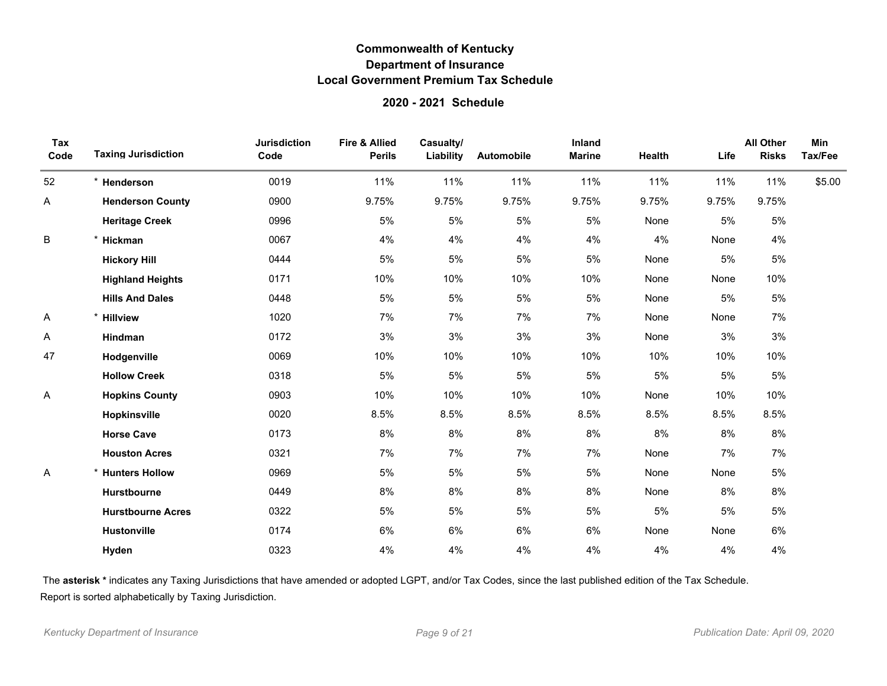### **2020 - 2021 Schedule**

| Tax<br>Code | <b>Taxing Jurisdiction</b> | <b>Jurisdiction</b><br>Code | <b>Fire &amp; Allied</b><br><b>Perils</b> | Casualty/<br>Liability | Automobile | Inland<br><b>Marine</b> | Health | Life  | <b>All Other</b><br><b>Risks</b> | Min<br>Tax/Fee |
|-------------|----------------------------|-----------------------------|-------------------------------------------|------------------------|------------|-------------------------|--------|-------|----------------------------------|----------------|
| 52          | * Henderson                | 0019                        | 11%                                       | 11%                    | 11%        | 11%                     | 11%    | 11%   | 11%                              | \$5.00         |
| A           | <b>Henderson County</b>    | 0900                        | 9.75%                                     | 9.75%                  | 9.75%      | 9.75%                   | 9.75%  | 9.75% | 9.75%                            |                |
|             | <b>Heritage Creek</b>      | 0996                        | 5%                                        | 5%                     | 5%         | 5%                      | None   | 5%    | 5%                               |                |
| B           | $\star$<br>Hickman         | 0067                        | 4%                                        | 4%                     | 4%         | 4%                      | 4%     | None  | 4%                               |                |
|             | <b>Hickory Hill</b>        | 0444                        | 5%                                        | 5%                     | 5%         | 5%                      | None   | 5%    | 5%                               |                |
|             | <b>Highland Heights</b>    | 0171                        | 10%                                       | 10%                    | 10%        | 10%                     | None   | None  | 10%                              |                |
|             | <b>Hills And Dales</b>     | 0448                        | 5%                                        | 5%                     | 5%         | 5%                      | None   | 5%    | 5%                               |                |
| Α           | * Hillview                 | 1020                        | 7%                                        | 7%                     | 7%         | 7%                      | None   | None  | 7%                               |                |
| Α           | Hindman                    | 0172                        | 3%                                        | 3%                     | 3%         | 3%                      | None   | 3%    | 3%                               |                |
| 47          | Hodgenville                | 0069                        | 10%                                       | 10%                    | 10%        | 10%                     | 10%    | 10%   | 10%                              |                |
|             | <b>Hollow Creek</b>        | 0318                        | 5%                                        | 5%                     | 5%         | 5%                      | 5%     | 5%    | 5%                               |                |
| Α           | <b>Hopkins County</b>      | 0903                        | 10%                                       | 10%                    | 10%        | 10%                     | None   | 10%   | 10%                              |                |
|             | Hopkinsville               | 0020                        | 8.5%                                      | 8.5%                   | 8.5%       | 8.5%                    | 8.5%   | 8.5%  | 8.5%                             |                |
|             | <b>Horse Cave</b>          | 0173                        | 8%                                        | 8%                     | 8%         | 8%                      | 8%     | 8%    | 8%                               |                |
|             | <b>Houston Acres</b>       | 0321                        | 7%                                        | 7%                     | 7%         | 7%                      | None   | 7%    | 7%                               |                |
| Α           | * Hunters Hollow           | 0969                        | 5%                                        | 5%                     | 5%         | 5%                      | None   | None  | 5%                               |                |
|             | Hurstbourne                | 0449                        | 8%                                        | 8%                     | 8%         | 8%                      | None   | 8%    | 8%                               |                |
|             | <b>Hurstbourne Acres</b>   | 0322                        | 5%                                        | 5%                     | 5%         | 5%                      | 5%     | 5%    | 5%                               |                |
|             | <b>Hustonville</b>         | 0174                        | 6%                                        | 6%                     | 6%         | 6%                      | None   | None  | 6%                               |                |
|             | Hyden                      | 0323                        | 4%                                        | 4%                     | 4%         | 4%                      | 4%     | 4%    | 4%                               |                |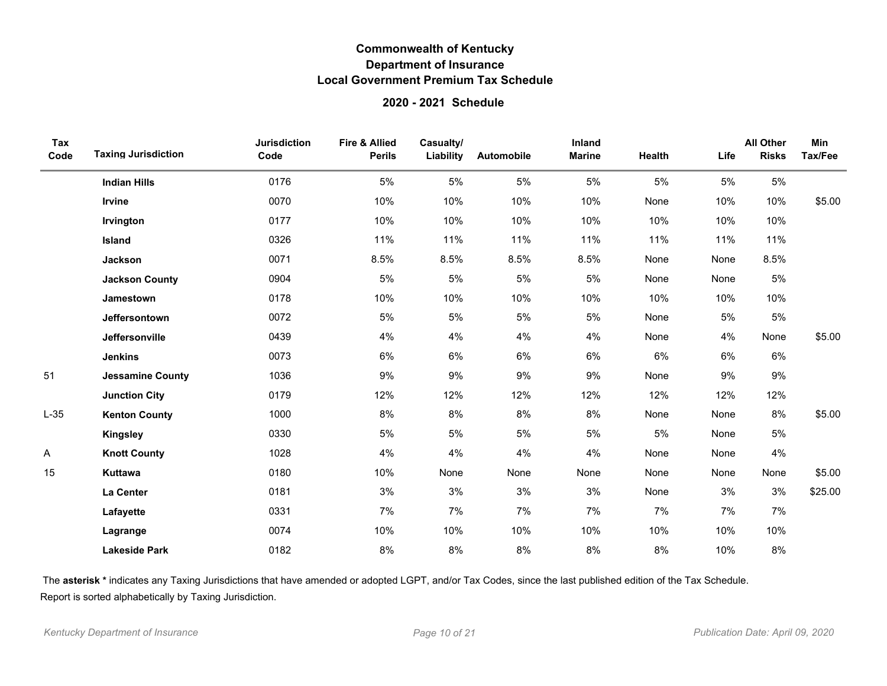### **2020 - 2021 Schedule**

| Tax<br>Code | <b>Taxing Jurisdiction</b> | <b>Jurisdiction</b><br>Code | <b>Fire &amp; Allied</b><br><b>Perils</b> | Casualty/<br>Liability | Automobile | Inland<br><b>Marine</b> | Health | Life | <b>All Other</b><br><b>Risks</b> | Min<br>Tax/Fee |
|-------------|----------------------------|-----------------------------|-------------------------------------------|------------------------|------------|-------------------------|--------|------|----------------------------------|----------------|
|             | <b>Indian Hills</b>        | 0176                        | 5%                                        | 5%                     | 5%         | 5%                      | 5%     | 5%   | 5%                               |                |
|             | Irvine                     | 0070                        | 10%                                       | 10%                    | 10%        | 10%                     | None   | 10%  | 10%                              | \$5.00         |
|             | Irvington                  | 0177                        | 10%                                       | 10%                    | 10%        | 10%                     | 10%    | 10%  | 10%                              |                |
|             | Island                     | 0326                        | 11%                                       | 11%                    | 11%        | 11%                     | 11%    | 11%  | 11%                              |                |
|             | <b>Jackson</b>             | 0071                        | 8.5%                                      | 8.5%                   | 8.5%       | 8.5%                    | None   | None | 8.5%                             |                |
|             | <b>Jackson County</b>      | 0904                        | 5%                                        | 5%                     | 5%         | 5%                      | None   | None | 5%                               |                |
|             | Jamestown                  | 0178                        | 10%                                       | 10%                    | 10%        | 10%                     | 10%    | 10%  | 10%                              |                |
|             | Jeffersontown              | 0072                        | 5%                                        | 5%                     | 5%         | 5%                      | None   | 5%   | 5%                               |                |
|             | Jeffersonville             | 0439                        | 4%                                        | 4%                     | 4%         | 4%                      | None   | 4%   | None                             | \$5.00         |
|             | <b>Jenkins</b>             | 0073                        | 6%                                        | 6%                     | 6%         | 6%                      | 6%     | 6%   | $6\%$                            |                |
| 51          | <b>Jessamine County</b>    | 1036                        | 9%                                        | 9%                     | 9%         | 9%                      | None   | 9%   | 9%                               |                |
|             | <b>Junction City</b>       | 0179                        | 12%                                       | 12%                    | 12%        | 12%                     | 12%    | 12%  | 12%                              |                |
| $L-35$      | <b>Kenton County</b>       | 1000                        | 8%                                        | 8%                     | $8\%$      | 8%                      | None   | None | 8%                               | \$5.00         |
|             | Kingsley                   | 0330                        | 5%                                        | 5%                     | 5%         | 5%                      | 5%     | None | 5%                               |                |
| Α           | <b>Knott County</b>        | 1028                        | 4%                                        | 4%                     | 4%         | 4%                      | None   | None | 4%                               |                |
| 15          | Kuttawa                    | 0180                        | 10%                                       | None                   | None       | None                    | None   | None | None                             | \$5.00         |
|             | La Center                  | 0181                        | 3%                                        | 3%                     | 3%         | 3%                      | None   | 3%   | 3%                               | \$25.00        |
|             | Lafayette                  | 0331                        | 7%                                        | 7%                     | 7%         | 7%                      | 7%     | 7%   | 7%                               |                |
|             | Lagrange                   | 0074                        | 10%                                       | 10%                    | 10%        | 10%                     | 10%    | 10%  | 10%                              |                |
|             | <b>Lakeside Park</b>       | 0182                        | 8%                                        | 8%                     | 8%         | 8%                      | 8%     | 10%  | 8%                               |                |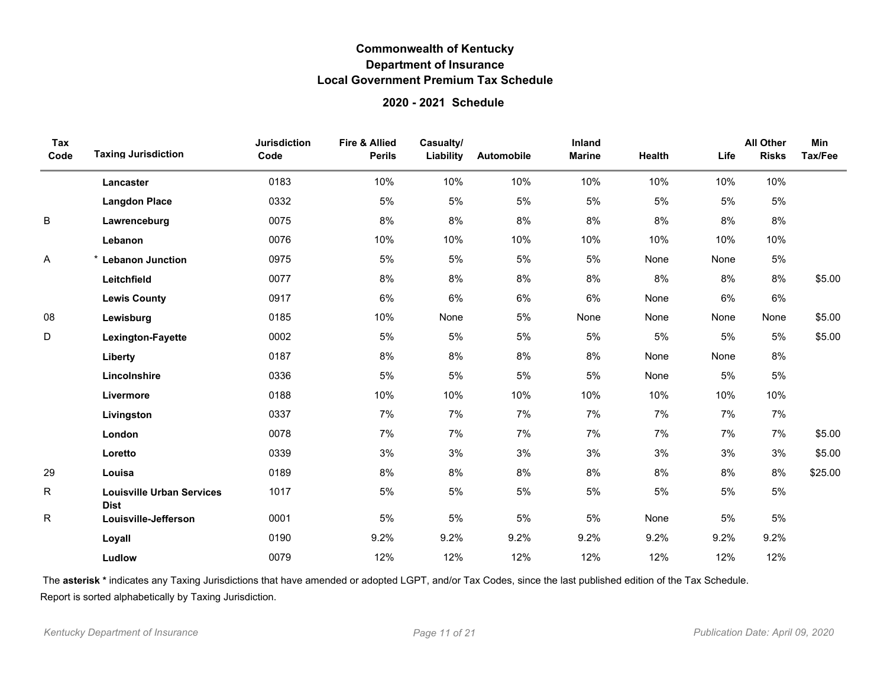### **2020 - 2021 Schedule**

| Tax<br>Code | <b>Taxing Jurisdiction</b>                      | <b>Jurisdiction</b><br>Code | <b>Fire &amp; Allied</b><br><b>Perils</b> | Casualty/<br>Liability | Automobile | Inland<br><b>Marine</b> | Health | Life | <b>All Other</b><br><b>Risks</b> | Min<br>Tax/Fee |
|-------------|-------------------------------------------------|-----------------------------|-------------------------------------------|------------------------|------------|-------------------------|--------|------|----------------------------------|----------------|
|             | Lancaster                                       | 0183                        | 10%                                       | 10%                    | 10%        | 10%                     | 10%    | 10%  | 10%                              |                |
|             | <b>Langdon Place</b>                            | 0332                        | 5%                                        | $5\%$                  | 5%         | $5\%$                   | 5%     | 5%   | 5%                               |                |
| B           | Lawrenceburg                                    | 0075                        | 8%                                        | 8%                     | 8%         | 8%                      | 8%     | 8%   | 8%                               |                |
|             | Lebanon                                         | 0076                        | 10%                                       | 10%                    | 10%        | 10%                     | 10%    | 10%  | 10%                              |                |
| Α           | * Lebanon Junction                              | 0975                        | 5%                                        | 5%                     | 5%         | 5%                      | None   | None | 5%                               |                |
|             | Leitchfield                                     | 0077                        | 8%                                        | 8%                     | 8%         | 8%                      | 8%     | 8%   | 8%                               | \$5.00         |
|             | <b>Lewis County</b>                             | 0917                        | 6%                                        | 6%                     | 6%         | 6%                      | None   | 6%   | 6%                               |                |
| 08          | Lewisburg                                       | 0185                        | 10%                                       | None                   | 5%         | None                    | None   | None | None                             | \$5.00         |
| D           | <b>Lexington-Fayette</b>                        | 0002                        | 5%                                        | 5%                     | 5%         | 5%                      | 5%     | 5%   | 5%                               | \$5.00         |
|             | Liberty                                         | 0187                        | 8%                                        | 8%                     | 8%         | 8%                      | None   | None | 8%                               |                |
|             | Lincolnshire                                    | 0336                        | 5%                                        | 5%                     | 5%         | 5%                      | None   | 5%   | 5%                               |                |
|             | Livermore                                       | 0188                        | 10%                                       | 10%                    | 10%        | 10%                     | 10%    | 10%  | 10%                              |                |
|             | Livingston                                      | 0337                        | 7%                                        | 7%                     | 7%         | 7%                      | 7%     | 7%   | 7%                               |                |
|             | London                                          | 0078                        | 7%                                        | 7%                     | 7%         | 7%                      | 7%     | 7%   | 7%                               | \$5.00         |
|             | Loretto                                         | 0339                        | 3%                                        | 3%                     | 3%         | 3%                      | 3%     | 3%   | 3%                               | \$5.00         |
| 29          | Louisa                                          | 0189                        | 8%                                        | 8%                     | 8%         | 8%                      | 8%     | 8%   | 8%                               | \$25.00        |
| R           | <b>Louisville Urban Services</b><br><b>Dist</b> | 1017                        | 5%                                        | 5%                     | 5%         | 5%                      | 5%     | 5%   | 5%                               |                |
| R           | Louisville-Jefferson                            | 0001                        | 5%                                        | 5%                     | 5%         | 5%                      | None   | 5%   | 5%                               |                |
|             | Loyall                                          | 0190                        | 9.2%                                      | 9.2%                   | 9.2%       | 9.2%                    | 9.2%   | 9.2% | 9.2%                             |                |
|             | Ludlow                                          | 0079                        | 12%                                       | 12%                    | 12%        | 12%                     | 12%    | 12%  | 12%                              |                |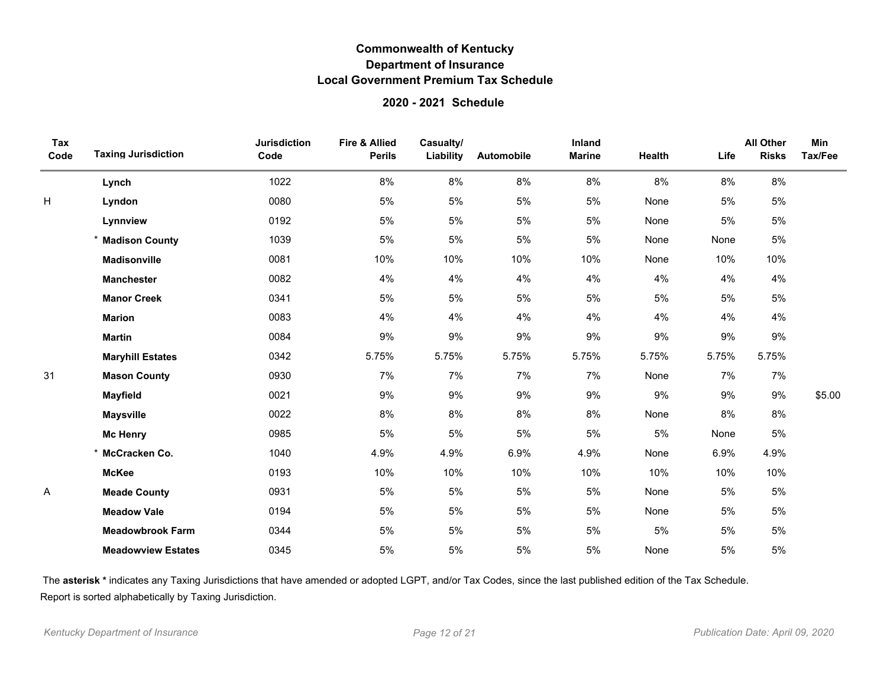### **2020 - 2021 Schedule**

| Tax<br>Code | <b>Taxing Jurisdiction</b> | <b>Jurisdiction</b><br>Code | <b>Fire &amp; Allied</b><br><b>Perils</b> | Casualty/<br>Liability | Automobile | Inland<br><b>Marine</b> | Health | Life  | <b>All Other</b><br><b>Risks</b> | Min<br>Tax/Fee |
|-------------|----------------------------|-----------------------------|-------------------------------------------|------------------------|------------|-------------------------|--------|-------|----------------------------------|----------------|
|             | Lynch                      | 1022                        | 8%                                        | 8%                     | 8%         | 8%                      | 8%     | 8%    | $8\%$                            |                |
| Η           | Lyndon                     | 0080                        | 5%                                        | 5%                     | 5%         | 5%                      | None   | 5%    | 5%                               |                |
|             | Lynnview                   | 0192                        | 5%                                        | 5%                     | 5%         | 5%                      | None   | 5%    | 5%                               |                |
|             | * Madison County           | 1039                        | 5%                                        | 5%                     | 5%         | 5%                      | None   | None  | 5%                               |                |
|             | <b>Madisonville</b>        | 0081                        | 10%                                       | 10%                    | 10%        | 10%                     | None   | 10%   | 10%                              |                |
|             | <b>Manchester</b>          | 0082                        | 4%                                        | 4%                     | 4%         | 4%                      | 4%     | 4%    | 4%                               |                |
|             | <b>Manor Creek</b>         | 0341                        | 5%                                        | 5%                     | 5%         | 5%                      | 5%     | 5%    | $5\%$                            |                |
|             | <b>Marion</b>              | 0083                        | 4%                                        | 4%                     | 4%         | 4%                      | 4%     | 4%    | 4%                               |                |
|             | <b>Martin</b>              | 0084                        | 9%                                        | 9%                     | 9%         | 9%                      | 9%     | 9%    | 9%                               |                |
|             | <b>Maryhill Estates</b>    | 0342                        | 5.75%                                     | 5.75%                  | 5.75%      | 5.75%                   | 5.75%  | 5.75% | 5.75%                            |                |
| 31          | <b>Mason County</b>        | 0930                        | 7%                                        | 7%                     | 7%         | 7%                      | None   | 7%    | 7%                               |                |
|             | <b>Mayfield</b>            | 0021                        | 9%                                        | 9%                     | 9%         | $9\%$                   | 9%     | 9%    | 9%                               | \$5.00         |
|             | <b>Maysville</b>           | 0022                        | 8%                                        | 8%                     | $8\%$      | 8%                      | None   | $8\%$ | 8%                               |                |
|             | <b>Mc Henry</b>            | 0985                        | 5%                                        | 5%                     | 5%         | 5%                      | 5%     | None  | 5%                               |                |
|             | * McCracken Co.            | 1040                        | 4.9%                                      | 4.9%                   | 6.9%       | 4.9%                    | None   | 6.9%  | 4.9%                             |                |
|             | <b>McKee</b>               | 0193                        | 10%                                       | 10%                    | 10%        | 10%                     | 10%    | 10%   | 10%                              |                |
| Α           | <b>Meade County</b>        | 0931                        | 5%                                        | 5%                     | 5%         | 5%                      | None   | 5%    | $5\%$                            |                |
|             | <b>Meadow Vale</b>         | 0194                        | 5%                                        | 5%                     | 5%         | 5%                      | None   | 5%    | 5%                               |                |
|             | <b>Meadowbrook Farm</b>    | 0344                        | 5%                                        | 5%                     | 5%         | 5%                      | 5%     | 5%    | 5%                               |                |
|             | <b>Meadowview Estates</b>  | 0345                        | 5%                                        | 5%                     | 5%         | 5%                      | None   | 5%    | 5%                               |                |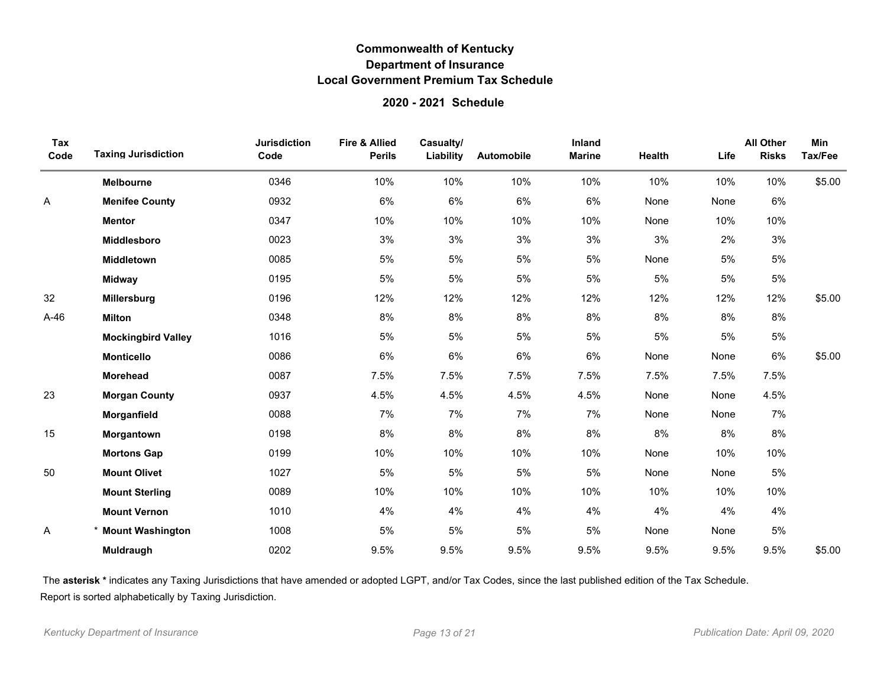### **2020 - 2021 Schedule**

| Tax<br>Code | <b>Taxing Jurisdiction</b> | <b>Jurisdiction</b><br>Code | Fire & Allied<br><b>Perils</b> | Casualty/<br>Liability | Automobile | Inland<br><b>Marine</b> | Health | Life | <b>All Other</b><br><b>Risks</b> | <b>Min</b><br>Tax/Fee |
|-------------|----------------------------|-----------------------------|--------------------------------|------------------------|------------|-------------------------|--------|------|----------------------------------|-----------------------|
|             | <b>Melbourne</b>           | 0346                        | 10%                            | 10%                    | 10%        | 10%                     | 10%    | 10%  | 10%                              | \$5.00                |
| Α           | <b>Menifee County</b>      | 0932                        | 6%                             | 6%                     | 6%         | 6%                      | None   | None | 6%                               |                       |
|             | <b>Mentor</b>              | 0347                        | 10%                            | 10%                    | 10%        | 10%                     | None   | 10%  | 10%                              |                       |
|             | <b>Middlesboro</b>         | 0023                        | 3%                             | 3%                     | 3%         | 3%                      | 3%     | 2%   | 3%                               |                       |
|             | Middletown                 | 0085                        | 5%                             | 5%                     | 5%         | 5%                      | None   | 5%   | 5%                               |                       |
|             | <b>Midway</b>              | 0195                        | 5%                             | 5%                     | 5%         | 5%                      | 5%     | 5%   | 5%                               |                       |
| 32          | Millersburg                | 0196                        | 12%                            | 12%                    | 12%        | 12%                     | 12%    | 12%  | 12%                              | \$5.00                |
| $A-46$      | <b>Milton</b>              | 0348                        | 8%                             | 8%                     | 8%         | 8%                      | 8%     | 8%   | 8%                               |                       |
|             | <b>Mockingbird Valley</b>  | 1016                        | 5%                             | 5%                     | 5%         | 5%                      | 5%     | 5%   | 5%                               |                       |
|             | <b>Monticello</b>          | 0086                        | 6%                             | 6%                     | 6%         | 6%                      | None   | None | 6%                               | \$5.00                |
|             | <b>Morehead</b>            | 0087                        | 7.5%                           | 7.5%                   | 7.5%       | 7.5%                    | 7.5%   | 7.5% | 7.5%                             |                       |
| 23          | <b>Morgan County</b>       | 0937                        | 4.5%                           | 4.5%                   | 4.5%       | 4.5%                    | None   | None | 4.5%                             |                       |
|             | Morganfield                | 0088                        | 7%                             | 7%                     | 7%         | 7%                      | None   | None | 7%                               |                       |
| 15          | Morgantown                 | 0198                        | 8%                             | 8%                     | 8%         | 8%                      | 8%     | 8%   | 8%                               |                       |
|             | <b>Mortons Gap</b>         | 0199                        | 10%                            | 10%                    | 10%        | 10%                     | None   | 10%  | 10%                              |                       |
| 50          | <b>Mount Olivet</b>        | 1027                        | 5%                             | 5%                     | 5%         | 5%                      | None   | None | 5%                               |                       |
|             | <b>Mount Sterling</b>      | 0089                        | 10%                            | 10%                    | 10%        | 10%                     | 10%    | 10%  | 10%                              |                       |
|             | <b>Mount Vernon</b>        | 1010                        | 4%                             | 4%                     | 4%         | 4%                      | 4%     | 4%   | 4%                               |                       |
| Α           | <b>Mount Washington</b>    | 1008                        | 5%                             | 5%                     | 5%         | 5%                      | None   | None | 5%                               |                       |
|             | Muldraugh                  | 0202                        | 9.5%                           | 9.5%                   | 9.5%       | 9.5%                    | 9.5%   | 9.5% | 9.5%                             | \$5.00                |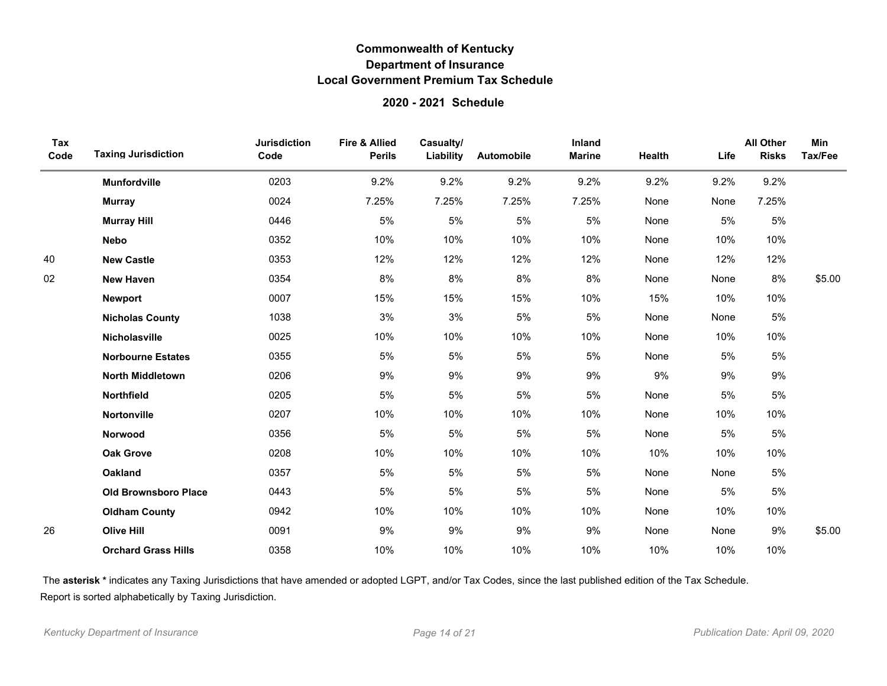### **2020 - 2021 Schedule**

| Tax<br>Code | <b>Taxing Jurisdiction</b>  | <b>Jurisdiction</b><br>Code | Fire & Allied<br><b>Perils</b> | Casualty/<br>Liability | Automobile | Inland<br><b>Marine</b> | Health | Life | <b>All Other</b><br><b>Risks</b> | Min<br>Tax/Fee |
|-------------|-----------------------------|-----------------------------|--------------------------------|------------------------|------------|-------------------------|--------|------|----------------------------------|----------------|
|             | <b>Munfordville</b>         | 0203                        | 9.2%                           | 9.2%                   | 9.2%       | 9.2%                    | 9.2%   | 9.2% | 9.2%                             |                |
|             | <b>Murray</b>               | 0024                        | 7.25%                          | 7.25%                  | 7.25%      | 7.25%                   | None   | None | 7.25%                            |                |
|             | <b>Murray Hill</b>          | 0446                        | 5%                             | 5%                     | 5%         | 5%                      | None   | 5%   | 5%                               |                |
|             | <b>Nebo</b>                 | 0352                        | 10%                            | 10%                    | 10%        | 10%                     | None   | 10%  | 10%                              |                |
| 40          | <b>New Castle</b>           | 0353                        | 12%                            | 12%                    | 12%        | 12%                     | None   | 12%  | 12%                              |                |
| 02          | <b>New Haven</b>            | 0354                        | 8%                             | 8%                     | 8%         | 8%                      | None   | None | 8%                               | \$5.00         |
|             | <b>Newport</b>              | 0007                        | 15%                            | 15%                    | 15%        | 10%                     | 15%    | 10%  | 10%                              |                |
|             | <b>Nicholas County</b>      | 1038                        | 3%                             | 3%                     | 5%         | 5%                      | None   | None | 5%                               |                |
|             | Nicholasville               | 0025                        | 10%                            | 10%                    | 10%        | 10%                     | None   | 10%  | 10%                              |                |
|             | <b>Norbourne Estates</b>    | 0355                        | 5%                             | 5%                     | 5%         | 5%                      | None   | 5%   | 5%                               |                |
|             | <b>North Middletown</b>     | 0206                        | 9%                             | 9%                     | 9%         | 9%                      | 9%     | 9%   | 9%                               |                |
|             | Northfield                  | 0205                        | 5%                             | 5%                     | 5%         | 5%                      | None   | 5%   | 5%                               |                |
|             | <b>Nortonville</b>          | 0207                        | 10%                            | 10%                    | 10%        | 10%                     | None   | 10%  | 10%                              |                |
|             | Norwood                     | 0356                        | 5%                             | 5%                     | 5%         | 5%                      | None   | 5%   | 5%                               |                |
|             | <b>Oak Grove</b>            | 0208                        | 10%                            | 10%                    | 10%        | 10%                     | 10%    | 10%  | 10%                              |                |
|             | <b>Oakland</b>              | 0357                        | 5%                             | 5%                     | 5%         | 5%                      | None   | None | 5%                               |                |
|             | <b>Old Brownsboro Place</b> | 0443                        | 5%                             | 5%                     | 5%         | 5%                      | None   | 5%   | 5%                               |                |
|             | <b>Oldham County</b>        | 0942                        | 10%                            | 10%                    | 10%        | 10%                     | None   | 10%  | 10%                              |                |
| 26          | <b>Olive Hill</b>           | 0091                        | 9%                             | 9%                     | 9%         | 9%                      | None   | None | 9%                               | \$5.00         |
|             | <b>Orchard Grass Hills</b>  | 0358                        | 10%                            | 10%                    | 10%        | 10%                     | 10%    | 10%  | 10%                              |                |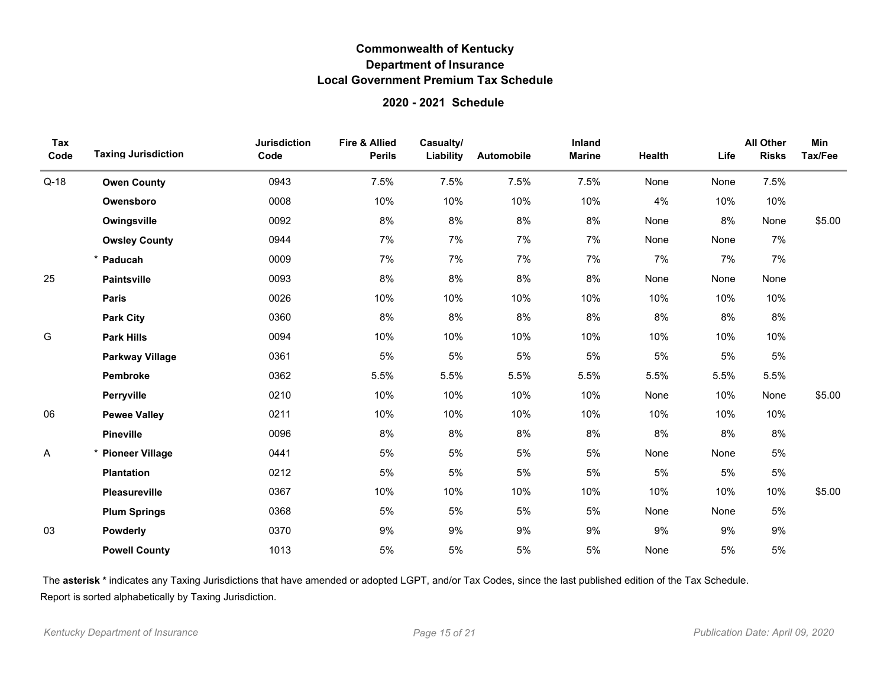### **2020 - 2021 Schedule**

| Tax<br>Code | <b>Taxing Jurisdiction</b> | <b>Jurisdiction</b><br>Code | <b>Fire &amp; Allied</b><br><b>Perils</b> | Casualty/<br>Liability | Automobile | Inland<br><b>Marine</b> | Health | Life | <b>All Other</b><br><b>Risks</b> | Min<br>Tax/Fee |
|-------------|----------------------------|-----------------------------|-------------------------------------------|------------------------|------------|-------------------------|--------|------|----------------------------------|----------------|
| $Q-18$      | <b>Owen County</b>         | 0943                        | 7.5%                                      | 7.5%                   | 7.5%       | 7.5%                    | None   | None | 7.5%                             |                |
|             | Owensboro                  | 0008                        | 10%                                       | 10%                    | 10%        | 10%                     | 4%     | 10%  | 10%                              |                |
|             | Owingsville                | 0092                        | 8%                                        | 8%                     | 8%         | 8%                      | None   | 8%   | None                             | \$5.00         |
|             | <b>Owsley County</b>       | 0944                        | 7%                                        | 7%                     | 7%         | 7%                      | None   | None | 7%                               |                |
|             | Paducah                    | 0009                        | 7%                                        | 7%                     | 7%         | 7%                      | 7%     | 7%   | 7%                               |                |
| 25          | <b>Paintsville</b>         | 0093                        | 8%                                        | 8%                     | $8\%$      | 8%                      | None   | None | None                             |                |
|             | <b>Paris</b>               | 0026                        | 10%                                       | 10%                    | 10%        | 10%                     | 10%    | 10%  | 10%                              |                |
|             | <b>Park City</b>           | 0360                        | 8%                                        | 8%                     | 8%         | 8%                      | 8%     | 8%   | 8%                               |                |
| G           | <b>Park Hills</b>          | 0094                        | 10%                                       | 10%                    | 10%        | 10%                     | 10%    | 10%  | 10%                              |                |
|             | <b>Parkway Village</b>     | 0361                        | 5%                                        | 5%                     | 5%         | 5%                      | 5%     | 5%   | 5%                               |                |
|             | Pembroke                   | 0362                        | 5.5%                                      | 5.5%                   | 5.5%       | 5.5%                    | 5.5%   | 5.5% | 5.5%                             |                |
|             | Perryville                 | 0210                        | 10%                                       | 10%                    | 10%        | 10%                     | None   | 10%  | None                             | \$5.00         |
| 06          | <b>Pewee Valley</b>        | 0211                        | 10%                                       | 10%                    | 10%        | 10%                     | 10%    | 10%  | 10%                              |                |
|             | <b>Pineville</b>           | 0096                        | 8%                                        | 8%                     | 8%         | 8%                      | 8%     | 8%   | 8%                               |                |
| Α           | <b>Pioneer Village</b>     | 0441                        | 5%                                        | 5%                     | 5%         | 5%                      | None   | None | 5%                               |                |
|             | <b>Plantation</b>          | 0212                        | 5%                                        | 5%                     | 5%         | 5%                      | 5%     | 5%   | 5%                               |                |
|             | Pleasureville              | 0367                        | 10%                                       | 10%                    | 10%        | 10%                     | 10%    | 10%  | 10%                              | \$5.00         |
|             | <b>Plum Springs</b>        | 0368                        | 5%                                        | 5%                     | 5%         | 5%                      | None   | None | 5%                               |                |
| 03          | <b>Powderly</b>            | 0370                        | 9%                                        | 9%                     | 9%         | 9%                      | 9%     | 9%   | 9%                               |                |
|             | <b>Powell County</b>       | 1013                        | 5%                                        | 5%                     | 5%         | 5%                      | None   | 5%   | 5%                               |                |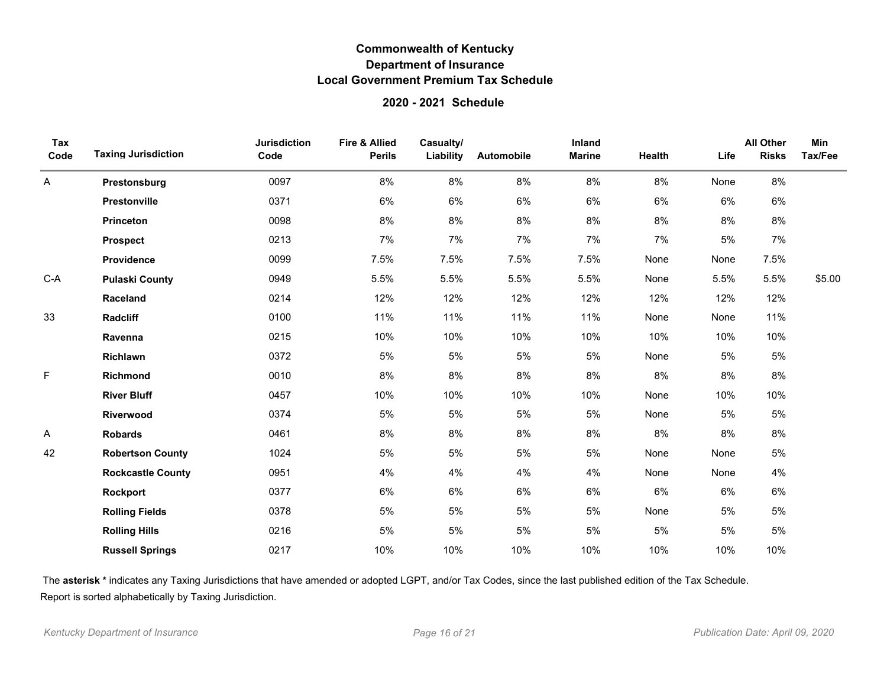### **2020 - 2021 Schedule**

| Tax<br>Code | <b>Taxing Jurisdiction</b> | <b>Jurisdiction</b><br>Code | <b>Fire &amp; Allied</b><br><b>Perils</b> | Casualty/<br>Liability | Automobile | Inland<br><b>Marine</b> | Health | Life | <b>All Other</b><br><b>Risks</b> | <b>Min</b><br>Tax/Fee |
|-------------|----------------------------|-----------------------------|-------------------------------------------|------------------------|------------|-------------------------|--------|------|----------------------------------|-----------------------|
| Α           | Prestonsburg               | 0097                        | 8%                                        | 8%                     | 8%         | 8%                      | 8%     | None | 8%                               |                       |
|             | Prestonville               | 0371                        | 6%                                        | 6%                     | 6%         | 6%                      | 6%     | 6%   | 6%                               |                       |
|             | <b>Princeton</b>           | 0098                        | 8%                                        | 8%                     | 8%         | 8%                      | 8%     | 8%   | 8%                               |                       |
|             | <b>Prospect</b>            | 0213                        | 7%                                        | 7%                     | 7%         | 7%                      | 7%     | 5%   | 7%                               |                       |
|             | Providence                 | 0099                        | 7.5%                                      | 7.5%                   | 7.5%       | 7.5%                    | None   | None | 7.5%                             |                       |
| $C-A$       | <b>Pulaski County</b>      | 0949                        | 5.5%                                      | 5.5%                   | 5.5%       | 5.5%                    | None   | 5.5% | 5.5%                             | \$5.00                |
|             | Raceland                   | 0214                        | 12%                                       | 12%                    | 12%        | 12%                     | 12%    | 12%  | 12%                              |                       |
| 33          | Radcliff                   | 0100                        | 11%                                       | 11%                    | 11%        | 11%                     | None   | None | 11%                              |                       |
|             | Ravenna                    | 0215                        | 10%                                       | 10%                    | 10%        | 10%                     | 10%    | 10%  | 10%                              |                       |
|             | Richlawn                   | 0372                        | 5%                                        | 5%                     | 5%         | 5%                      | None   | 5%   | 5%                               |                       |
| F           | Richmond                   | 0010                        | 8%                                        | 8%                     | 8%         | 8%                      | 8%     | 8%   | 8%                               |                       |
|             | <b>River Bluff</b>         | 0457                        | 10%                                       | 10%                    | 10%        | 10%                     | None   | 10%  | 10%                              |                       |
|             | Riverwood                  | 0374                        | 5%                                        | $5\%$                  | 5%         | 5%                      | None   | 5%   | 5%                               |                       |
| Α           | <b>Robards</b>             | 0461                        | 8%                                        | 8%                     | 8%         | 8%                      | 8%     | 8%   | 8%                               |                       |
| 42          | <b>Robertson County</b>    | 1024                        | 5%                                        | 5%                     | 5%         | 5%                      | None   | None | 5%                               |                       |
|             | <b>Rockcastle County</b>   | 0951                        | 4%                                        | 4%                     | 4%         | 4%                      | None   | None | 4%                               |                       |
|             | Rockport                   | 0377                        | 6%                                        | 6%                     | 6%         | 6%                      | $6\%$  | 6%   | 6%                               |                       |
|             | <b>Rolling Fields</b>      | 0378                        | 5%                                        | 5%                     | 5%         | 5%                      | None   | 5%   | $5\%$                            |                       |
|             | <b>Rolling Hills</b>       | 0216                        | 5%                                        | 5%                     | 5%         | 5%                      | 5%     | 5%   | $5\%$                            |                       |
|             | <b>Russell Springs</b>     | 0217                        | 10%                                       | 10%                    | 10%        | 10%                     | 10%    | 10%  | 10%                              |                       |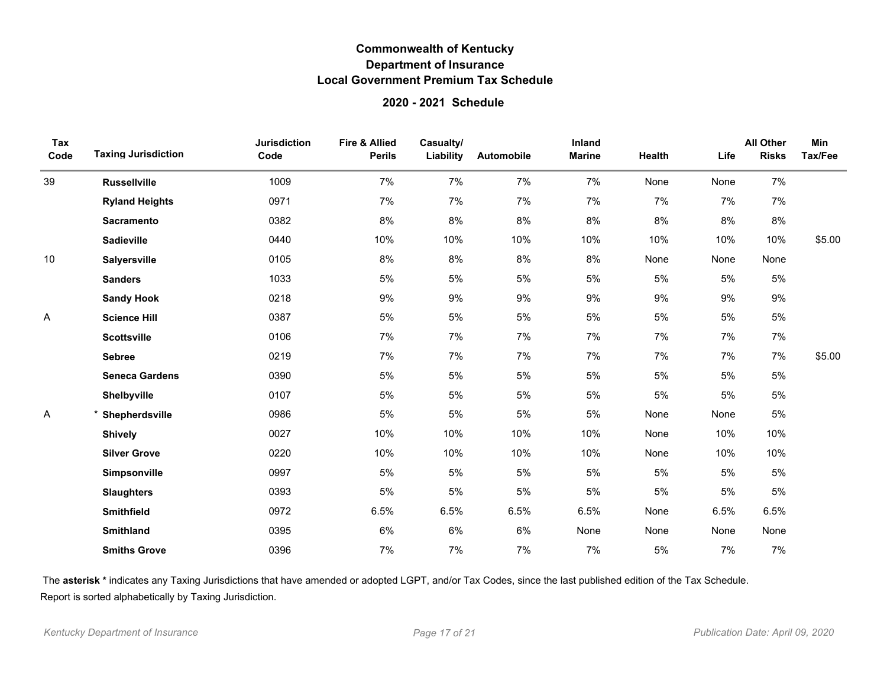### **2020 - 2021 Schedule**

| Tax<br>Code | <b>Taxing Jurisdiction</b> | <b>Jurisdiction</b><br>Code | Fire & Allied<br><b>Perils</b> | Casualty/<br>Liability | Automobile | Inland<br><b>Marine</b> | Health | Life | <b>All Other</b><br><b>Risks</b> | <b>Min</b><br>Tax/Fee |
|-------------|----------------------------|-----------------------------|--------------------------------|------------------------|------------|-------------------------|--------|------|----------------------------------|-----------------------|
| 39          | <b>Russellville</b>        | 1009                        | 7%                             | 7%                     | 7%         | 7%                      | None   | None | 7%                               |                       |
|             | <b>Ryland Heights</b>      | 0971                        | 7%                             | 7%                     | 7%         | 7%                      | 7%     | 7%   | 7%                               |                       |
|             | <b>Sacramento</b>          | 0382                        | 8%                             | 8%                     | 8%         | $8\%$                   | $8\%$  | 8%   | 8%                               |                       |
|             | <b>Sadieville</b>          | 0440                        | 10%                            | 10%                    | 10%        | 10%                     | 10%    | 10%  | 10%                              | \$5.00                |
| 10          | <b>Salyersville</b>        | 0105                        | $8\%$                          | 8%                     | 8%         | 8%                      | None   | None | None                             |                       |
|             | <b>Sanders</b>             | 1033                        | 5%                             | 5%                     | 5%         | 5%                      | 5%     | 5%   | 5%                               |                       |
|             | <b>Sandy Hook</b>          | 0218                        | 9%                             | 9%                     | $9\%$      | 9%                      | $9\%$  | 9%   | 9%                               |                       |
| Α           | <b>Science Hill</b>        | 0387                        | 5%                             | 5%                     | 5%         | 5%                      | 5%     | 5%   | 5%                               |                       |
|             | <b>Scottsville</b>         | 0106                        | 7%                             | 7%                     | 7%         | 7%                      | 7%     | 7%   | 7%                               |                       |
|             | <b>Sebree</b>              | 0219                        | 7%                             | 7%                     | 7%         | 7%                      | 7%     | 7%   | 7%                               | \$5.00                |
|             | <b>Seneca Gardens</b>      | 0390                        | 5%                             | 5%                     | 5%         | 5%                      | 5%     | 5%   | $5\%$                            |                       |
|             | Shelbyville                | 0107                        | 5%                             | 5%                     | 5%         | 5%                      | 5%     | 5%   | $5\%$                            |                       |
| Α           | Shepherdsville             | 0986                        | 5%                             | $5\%$                  | 5%         | 5%                      | None   | None | 5%                               |                       |
|             | <b>Shively</b>             | 0027                        | 10%                            | 10%                    | 10%        | 10%                     | None   | 10%  | 10%                              |                       |
|             | <b>Silver Grove</b>        | 0220                        | 10%                            | 10%                    | 10%        | 10%                     | None   | 10%  | 10%                              |                       |
|             | Simpsonville               | 0997                        | 5%                             | 5%                     | 5%         | 5%                      | 5%     | 5%   | 5%                               |                       |
|             | <b>Slaughters</b>          | 0393                        | 5%                             | $5\%$                  | 5%         | 5%                      | 5%     | 5%   | $5\%$                            |                       |
|             | <b>Smithfield</b>          | 0972                        | 6.5%                           | 6.5%                   | 6.5%       | 6.5%                    | None   | 6.5% | 6.5%                             |                       |
|             | <b>Smithland</b>           | 0395                        | 6%                             | 6%                     | 6%         | None                    | None   | None | None                             |                       |
|             | <b>Smiths Grove</b>        | 0396                        | 7%                             | 7%                     | 7%         | 7%                      | 5%     | 7%   | 7%                               |                       |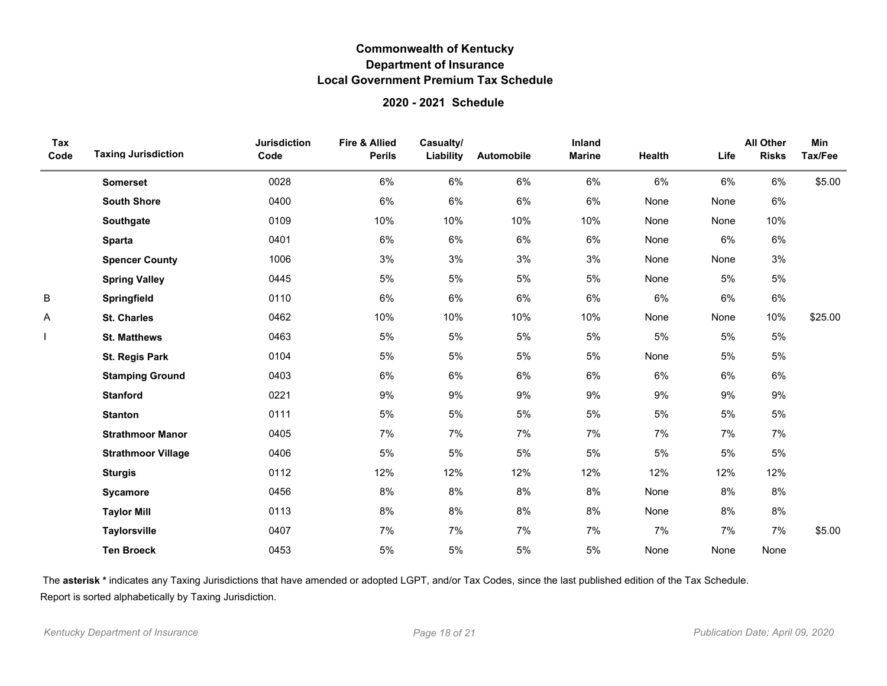### **2020 - 2021 Schedule**

| Tax<br>Code | <b>Taxing Jurisdiction</b> | <b>Jurisdiction</b><br>Code | <b>Fire &amp; Allied</b><br><b>Perils</b> | Casualty/<br>Liability | Automobile | Inland<br><b>Marine</b> | Health | Life  | <b>All Other</b><br><b>Risks</b> | Min<br>Tax/Fee |
|-------------|----------------------------|-----------------------------|-------------------------------------------|------------------------|------------|-------------------------|--------|-------|----------------------------------|----------------|
|             | <b>Somerset</b>            | 0028                        | 6%                                        | 6%                     | 6%         | 6%                      | 6%     | 6%    | 6%                               | \$5.00         |
|             | <b>South Shore</b>         | 0400                        | 6%                                        | $6\%$                  | 6%         | 6%                      | None   | None  | 6%                               |                |
|             | Southgate                  | 0109                        | 10%                                       | 10%                    | 10%        | 10%                     | None   | None  | 10%                              |                |
|             | <b>Sparta</b>              | 0401                        | 6%                                        | 6%                     | 6%         | 6%                      | None   | 6%    | 6%                               |                |
|             | <b>Spencer County</b>      | 1006                        | 3%                                        | $3%$                   | 3%         | $3%$                    | None   | None  | 3%                               |                |
|             | <b>Spring Valley</b>       | 0445                        | 5%                                        | $5\%$                  | 5%         | 5%                      | None   | 5%    | 5%                               |                |
| B           | Springfield                | 0110                        | 6%                                        | $6\%$                  | 6%         | 6%                      | 6%     | 6%    | 6%                               |                |
| Α           | <b>St. Charles</b>         | 0462                        | 10%                                       | 10%                    | 10%        | 10%                     | None   | None  | 10%                              | \$25.00        |
|             | <b>St. Matthews</b>        | 0463                        | 5%                                        | $5\%$                  | 5%         | 5%                      | 5%     | 5%    | $5\%$                            |                |
|             | St. Regis Park             | 0104                        | 5%                                        | $5\%$                  | 5%         | 5%                      | None   | 5%    | $5\%$                            |                |
|             | <b>Stamping Ground</b>     | 0403                        | 6%                                        | 6%                     | 6%         | 6%                      | 6%     | 6%    | 6%                               |                |
|             | <b>Stanford</b>            | 0221                        | 9%                                        | 9%                     | 9%         | $9\%$                   | $9\%$  | 9%    | 9%                               |                |
|             | <b>Stanton</b>             | 0111                        | 5%                                        | $5\%$                  | 5%         | 5%                      | 5%     | 5%    | 5%                               |                |
|             | <b>Strathmoor Manor</b>    | 0405                        | 7%                                        | 7%                     | 7%         | 7%                      | 7%     | 7%    | 7%                               |                |
|             | <b>Strathmoor Village</b>  | 0406                        | 5%                                        | $5\%$                  | 5%         | 5%                      | 5%     | 5%    | 5%                               |                |
|             | <b>Sturgis</b>             | 0112                        | 12%                                       | 12%                    | 12%        | 12%                     | 12%    | 12%   | 12%                              |                |
|             | Sycamore                   | 0456                        | 8%                                        | $8\%$                  | 8%         | 8%                      | None   | $8\%$ | 8%                               |                |
|             | <b>Taylor Mill</b>         | 0113                        | 8%                                        | 8%                     | 8%         | 8%                      | None   | 8%    | 8%                               |                |
|             | <b>Taylorsville</b>        | 0407                        | 7%                                        | 7%                     | 7%         | 7%                      | 7%     | 7%    | 7%                               | \$5.00         |
|             | <b>Ten Broeck</b>          | 0453                        | 5%                                        | 5%                     | 5%         | 5%                      | None   | None  | None                             |                |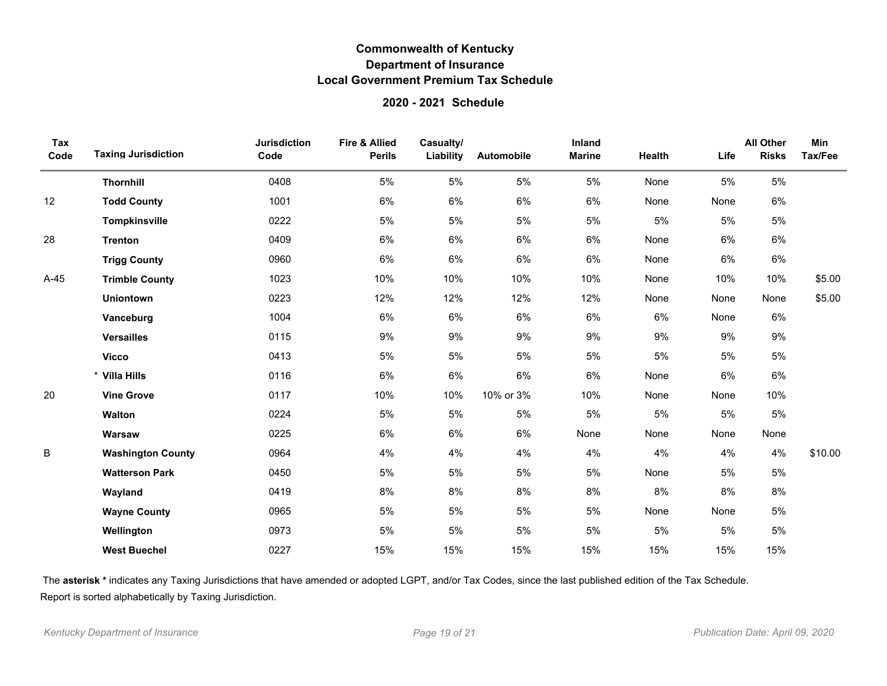### **2020 - 2021 Schedule**

| Tax<br>Code | <b>Taxing Jurisdiction</b> | <b>Jurisdiction</b><br>Code | <b>Fire &amp; Allied</b><br><b>Perils</b> | Casualty/<br>Liability | Automobile | Inland<br><b>Marine</b> | Health | Life | <b>All Other</b><br><b>Risks</b> | <b>Min</b><br>Tax/Fee |
|-------------|----------------------------|-----------------------------|-------------------------------------------|------------------------|------------|-------------------------|--------|------|----------------------------------|-----------------------|
|             | Thornhill                  | 0408                        | 5%                                        | 5%                     | 5%         | 5%                      | None   | 5%   | 5%                               |                       |
| 12          | <b>Todd County</b>         | 1001                        | 6%                                        | 6%                     | 6%         | 6%                      | None   | None | 6%                               |                       |
|             | Tompkinsville              | 0222                        | 5%                                        | 5%                     | 5%         | 5%                      | 5%     | 5%   | 5%                               |                       |
| 28          | <b>Trenton</b>             | 0409                        | 6%                                        | 6%                     | 6%         | 6%                      | None   | 6%   | 6%                               |                       |
|             | <b>Trigg County</b>        | 0960                        | 6%                                        | 6%                     | 6%         | 6%                      | None   | 6%   | 6%                               |                       |
| $A-45$      | <b>Trimble County</b>      | 1023                        | 10%                                       | 10%                    | 10%        | 10%                     | None   | 10%  | 10%                              | \$5.00                |
|             | <b>Uniontown</b>           | 0223                        | 12%                                       | 12%                    | 12%        | 12%                     | None   | None | None                             | \$5.00                |
|             | Vanceburg                  | 1004                        | 6%                                        | 6%                     | 6%         | $6\%$                   | 6%     | None | 6%                               |                       |
|             | <b>Versailles</b>          | 0115                        | 9%                                        | 9%                     | 9%         | 9%                      | 9%     | 9%   | 9%                               |                       |
|             | <b>Vicco</b>               | 0413                        | 5%                                        | 5%                     | 5%         | 5%                      | 5%     | 5%   | 5%                               |                       |
|             | * Villa Hills              | 0116                        | 6%                                        | 6%                     | 6%         | 6%                      | None   | 6%   | 6%                               |                       |
| 20          | <b>Vine Grove</b>          | 0117                        | 10%                                       | 10%                    | 10% or 3%  | 10%                     | None   | None | 10%                              |                       |
|             | Walton                     | 0224                        | 5%                                        | 5%                     | 5%         | 5%                      | 5%     | 5%   | 5%                               |                       |
|             | Warsaw                     | 0225                        | 6%                                        | 6%                     | 6%         | None                    | None   | None | None                             |                       |
| B           | <b>Washington County</b>   | 0964                        | 4%                                        | 4%                     | 4%         | 4%                      | 4%     | 4%   | 4%                               | \$10.00               |
|             | <b>Watterson Park</b>      | 0450                        | 5%                                        | 5%                     | 5%         | 5%                      | None   | 5%   | 5%                               |                       |
|             | Wayland                    | 0419                        | 8%                                        | 8%                     | 8%         | $8\%$                   | $8\%$  | 8%   | 8%                               |                       |
|             | <b>Wayne County</b>        | 0965                        | 5%                                        | 5%                     | 5%         | 5%                      | None   | None | 5%                               |                       |
|             | Wellington                 | 0973                        | 5%                                        | 5%                     | 5%         | 5%                      | 5%     | 5%   | 5%                               |                       |
|             | <b>West Buechel</b>        | 0227                        | 15%                                       | 15%                    | 15%        | 15%                     | 15%    | 15%  | 15%                              |                       |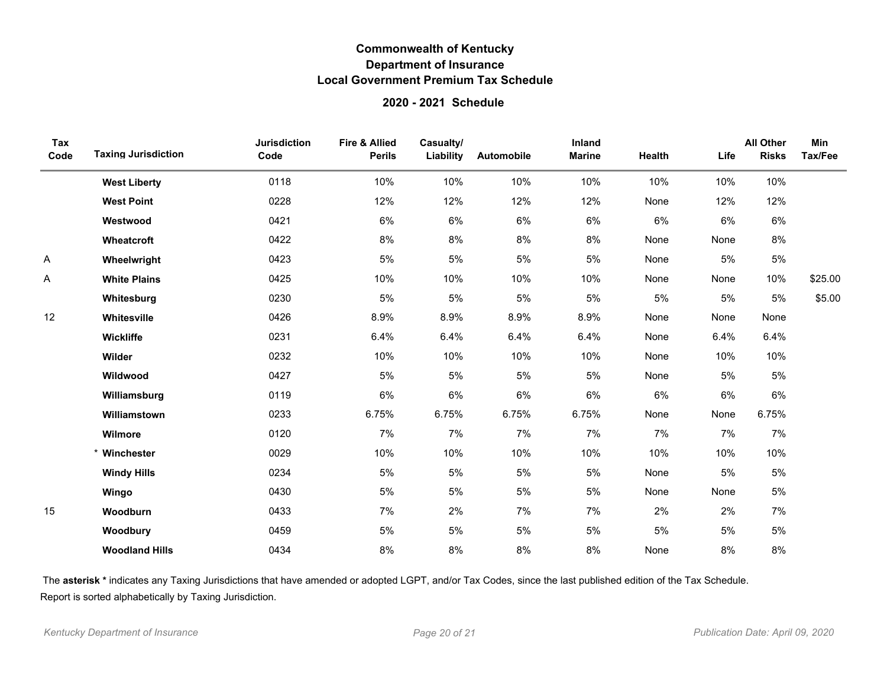### **2020 - 2021 Schedule**

| Tax<br>Code | <b>Taxing Jurisdiction</b> | <b>Jurisdiction</b><br>Code | <b>Fire &amp; Allied</b><br><b>Perils</b> | Casualty/<br>Liability | Automobile | Inland<br><b>Marine</b> | Health | Life | <b>All Other</b><br><b>Risks</b> | <b>Min</b><br>Tax/Fee |
|-------------|----------------------------|-----------------------------|-------------------------------------------|------------------------|------------|-------------------------|--------|------|----------------------------------|-----------------------|
|             | <b>West Liberty</b>        | 0118                        | 10%                                       | 10%                    | 10%        | 10%                     | 10%    | 10%  | 10%                              |                       |
|             | <b>West Point</b>          | 0228                        | 12%                                       | 12%                    | 12%        | 12%                     | None   | 12%  | 12%                              |                       |
|             | Westwood                   | 0421                        | 6%                                        | 6%                     | 6%         | 6%                      | 6%     | 6%   | 6%                               |                       |
|             | Wheatcroft                 | 0422                        | 8%                                        | 8%                     | $8\%$      | 8%                      | None   | None | 8%                               |                       |
| Α           | Wheelwright                | 0423                        | 5%                                        | 5%                     | 5%         | 5%                      | None   | 5%   | $5\%$                            |                       |
| A           | <b>White Plains</b>        | 0425                        | 10%                                       | 10%                    | 10%        | 10%                     | None   | None | 10%                              | \$25.00               |
|             | Whitesburg                 | 0230                        | 5%                                        | 5%                     | 5%         | 5%                      | 5%     | 5%   | 5%                               | \$5.00                |
| 12          | Whitesville                | 0426                        | 8.9%                                      | 8.9%                   | 8.9%       | 8.9%                    | None   | None | None                             |                       |
|             | Wickliffe                  | 0231                        | 6.4%                                      | 6.4%                   | 6.4%       | 6.4%                    | None   | 6.4% | 6.4%                             |                       |
|             | Wilder                     | 0232                        | 10%                                       | 10%                    | 10%        | 10%                     | None   | 10%  | 10%                              |                       |
|             | Wildwood                   | 0427                        | 5%                                        | 5%                     | 5%         | 5%                      | None   | 5%   | $5\%$                            |                       |
|             | Williamsburg               | 0119                        | 6%                                        | 6%                     | 6%         | 6%                      | $6\%$  | 6%   | 6%                               |                       |
|             | Williamstown               | 0233                        | 6.75%                                     | 6.75%                  | 6.75%      | 6.75%                   | None   | None | 6.75%                            |                       |
|             | Wilmore                    | 0120                        | 7%                                        | 7%                     | 7%         | 7%                      | 7%     | 7%   | 7%                               |                       |
|             | * Winchester               | 0029                        | 10%                                       | 10%                    | 10%        | 10%                     | 10%    | 10%  | 10%                              |                       |
|             | <b>Windy Hills</b>         | 0234                        | 5%                                        | 5%                     | 5%         | 5%                      | None   | 5%   | 5%                               |                       |
|             | Wingo                      | 0430                        | 5%                                        | 5%                     | 5%         | 5%                      | None   | None | $5\%$                            |                       |
| 15          | Woodburn                   | 0433                        | 7%                                        | 2%                     | 7%         | 7%                      | 2%     | 2%   | 7%                               |                       |
|             | Woodbury                   | 0459                        | 5%                                        | 5%                     | 5%         | 5%                      | 5%     | 5%   | $5\%$                            |                       |
|             | <b>Woodland Hills</b>      | 0434                        | 8%                                        | 8%                     | 8%         | 8%                      | None   | 8%   | 8%                               |                       |